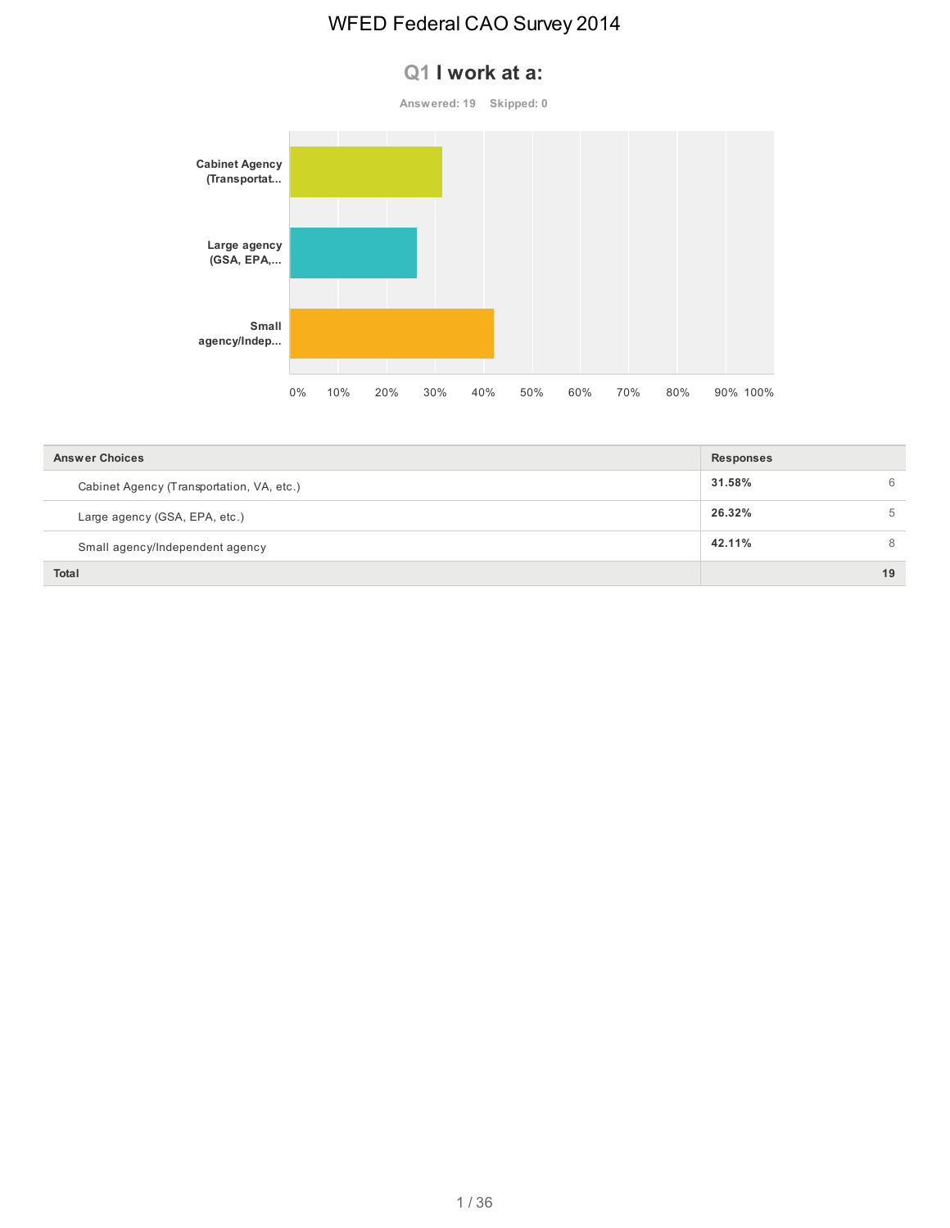#### **Q1 I work at a:**

**Answered: 19 Skipped: 0**



| <b>Answer Choices</b>                     | <b>Responses</b> |    |
|-------------------------------------------|------------------|----|
| Cabinet Agency (Transportation, VA, etc.) | 31.58%           | 6  |
| Large agency (GSA, EPA, etc.)             | 26.32%           | 5  |
| Small agency/Independent agency           | 42.11%           | 8  |
| Total                                     |                  | 19 |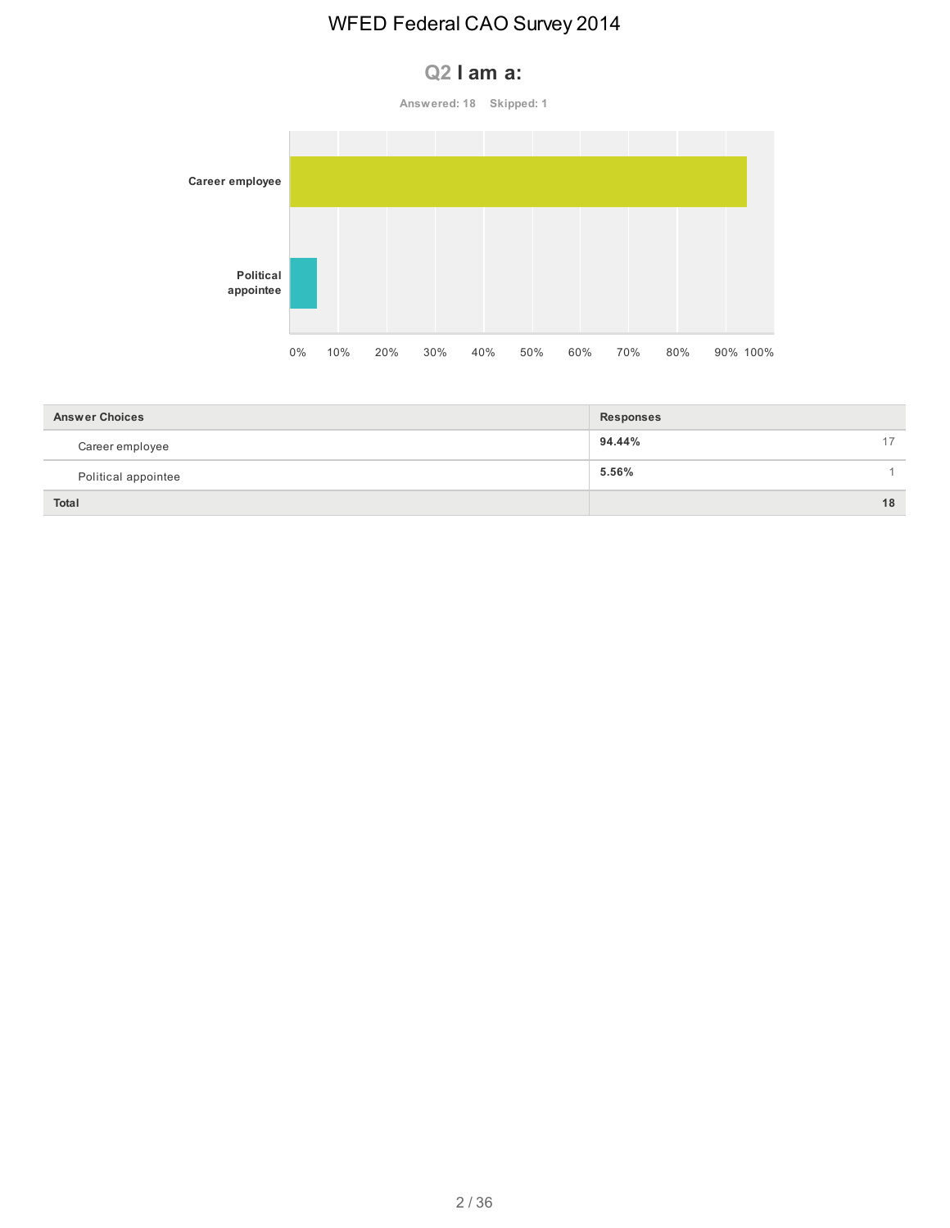#### **Q2 I am a:**

**Answered: 18 Skipped: 1**



| <b>Answer Choices</b> | <b>Responses</b> |
|-----------------------|------------------|
| Career employee       | 94.44%<br>$-1$   |
| Political appointee   | 5.56%            |
| <b>Total</b>          | 18               |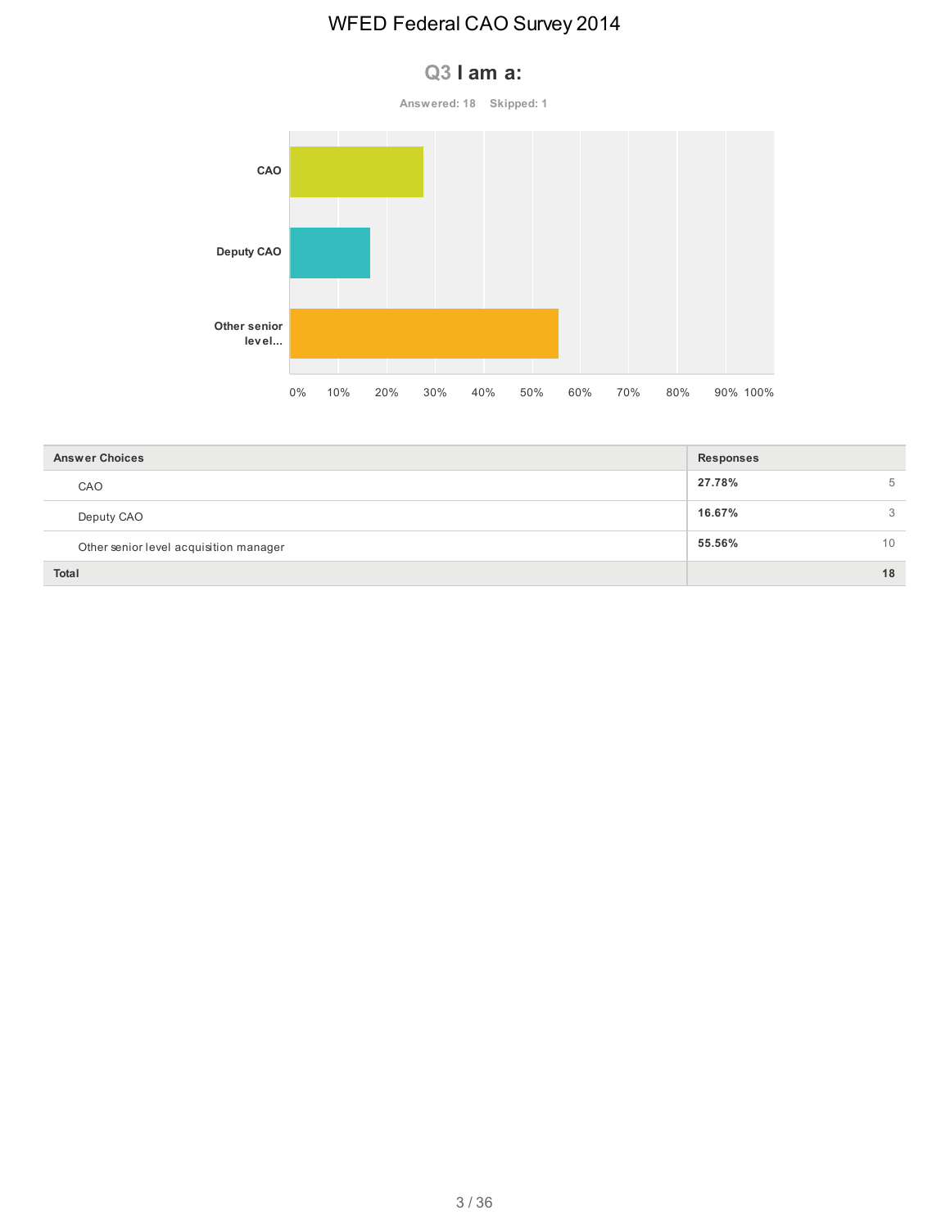#### **Q3 I am a:**

**Answered: 18 Skipped: 1**



| <b>Answer Choices</b>                  | <b>Responses</b> |    |  |  |
|----------------------------------------|------------------|----|--|--|
| CAO                                    | 27.78%           | 5  |  |  |
| Deputy CAO                             | 16.67%           | 3  |  |  |
| Other senior level acquisition manager | 55.56%           | 10 |  |  |
| <b>Total</b>                           |                  | 18 |  |  |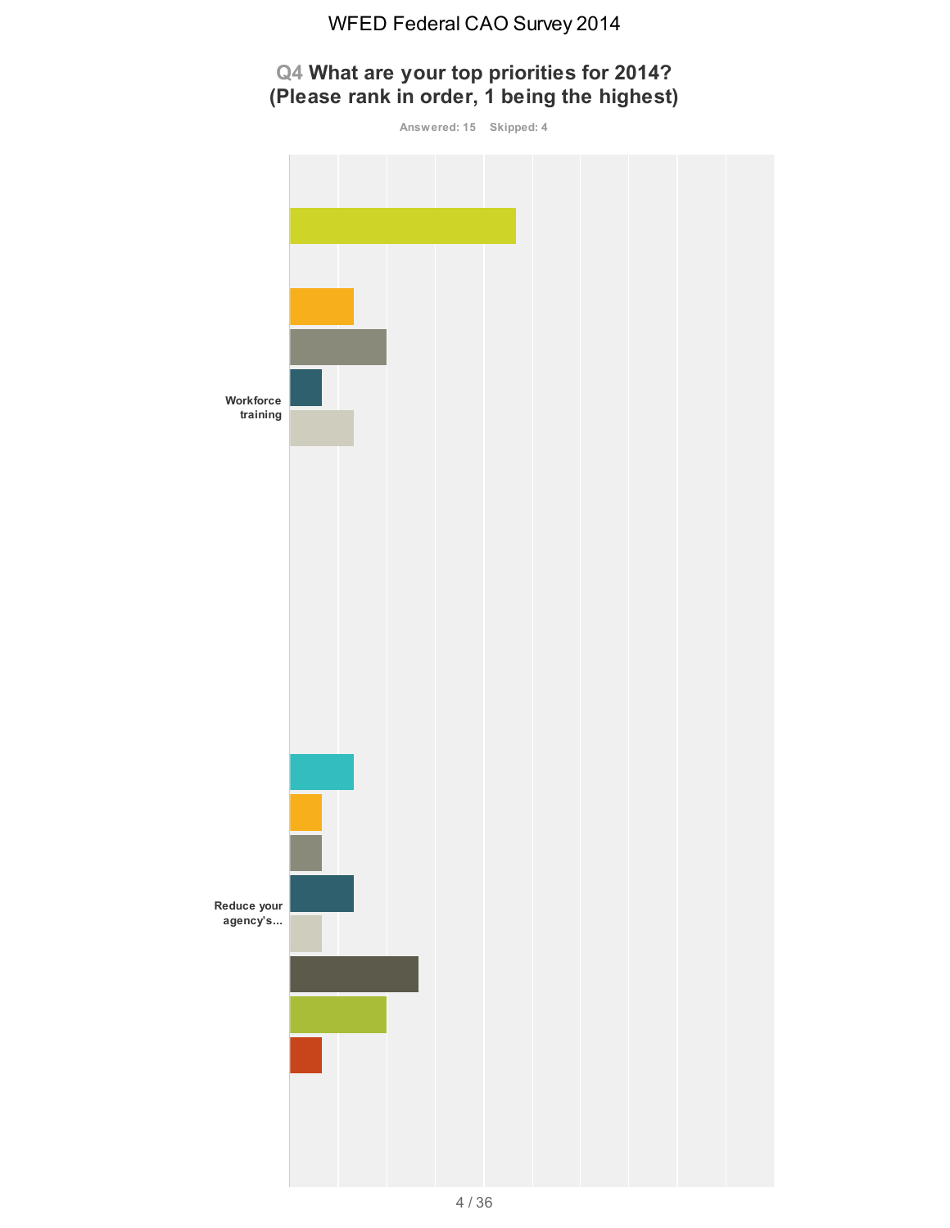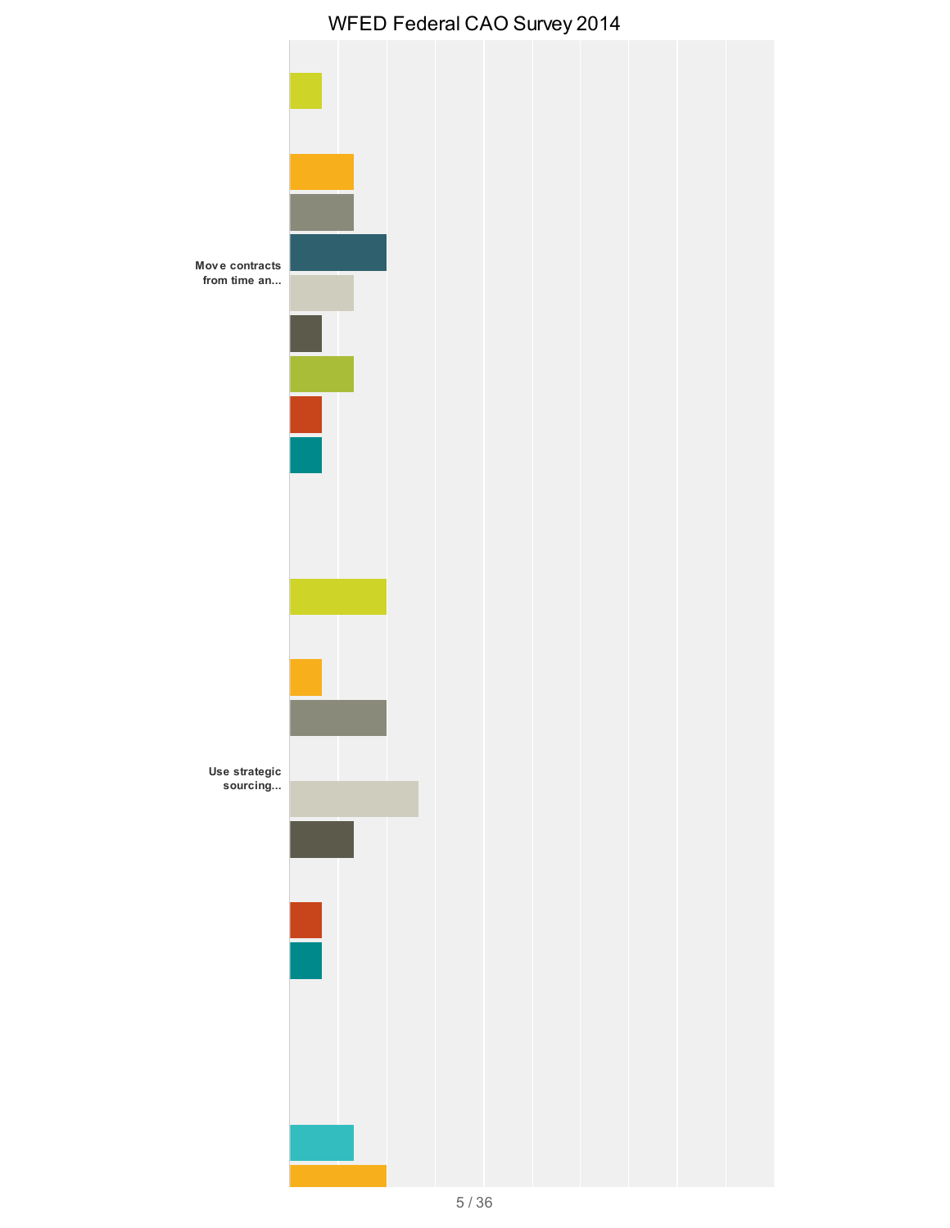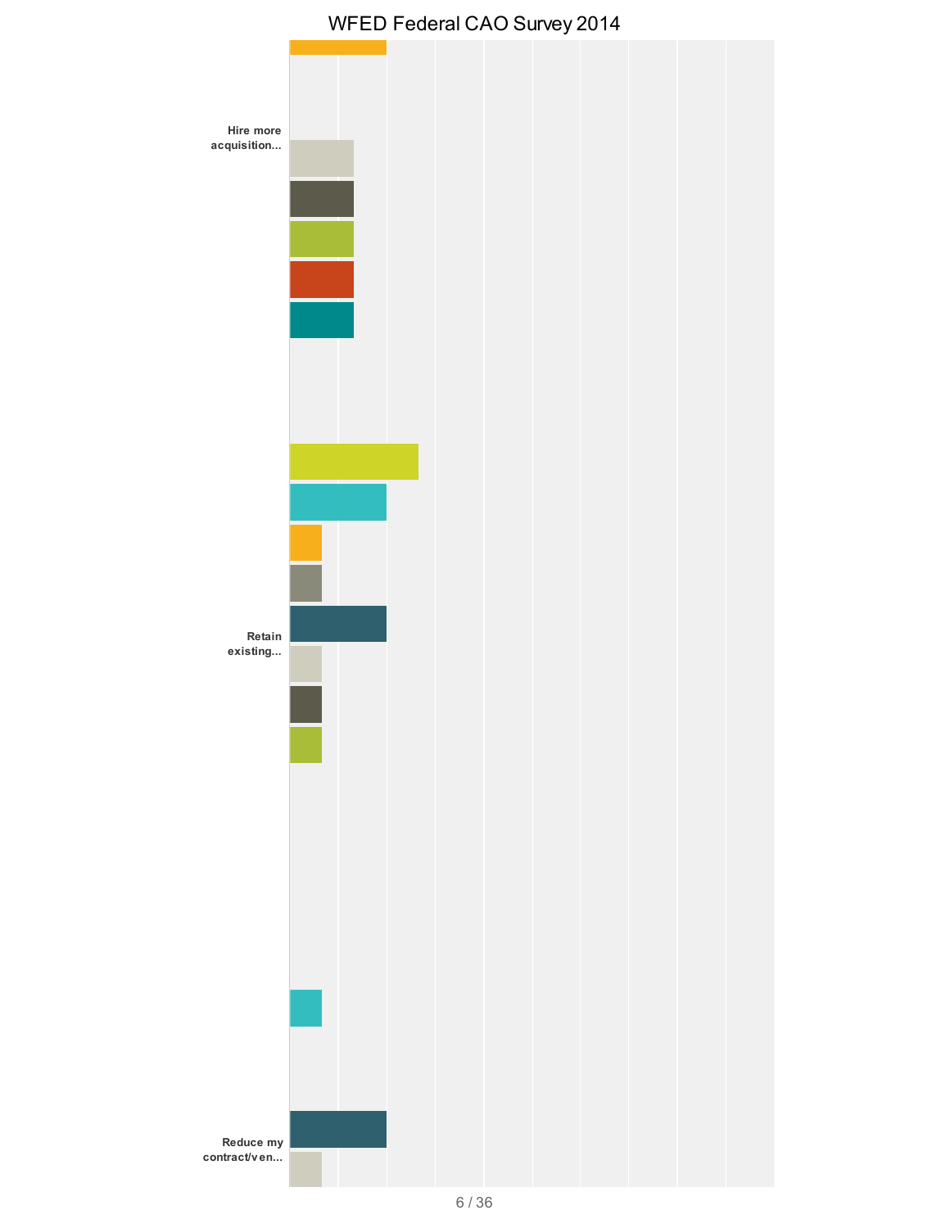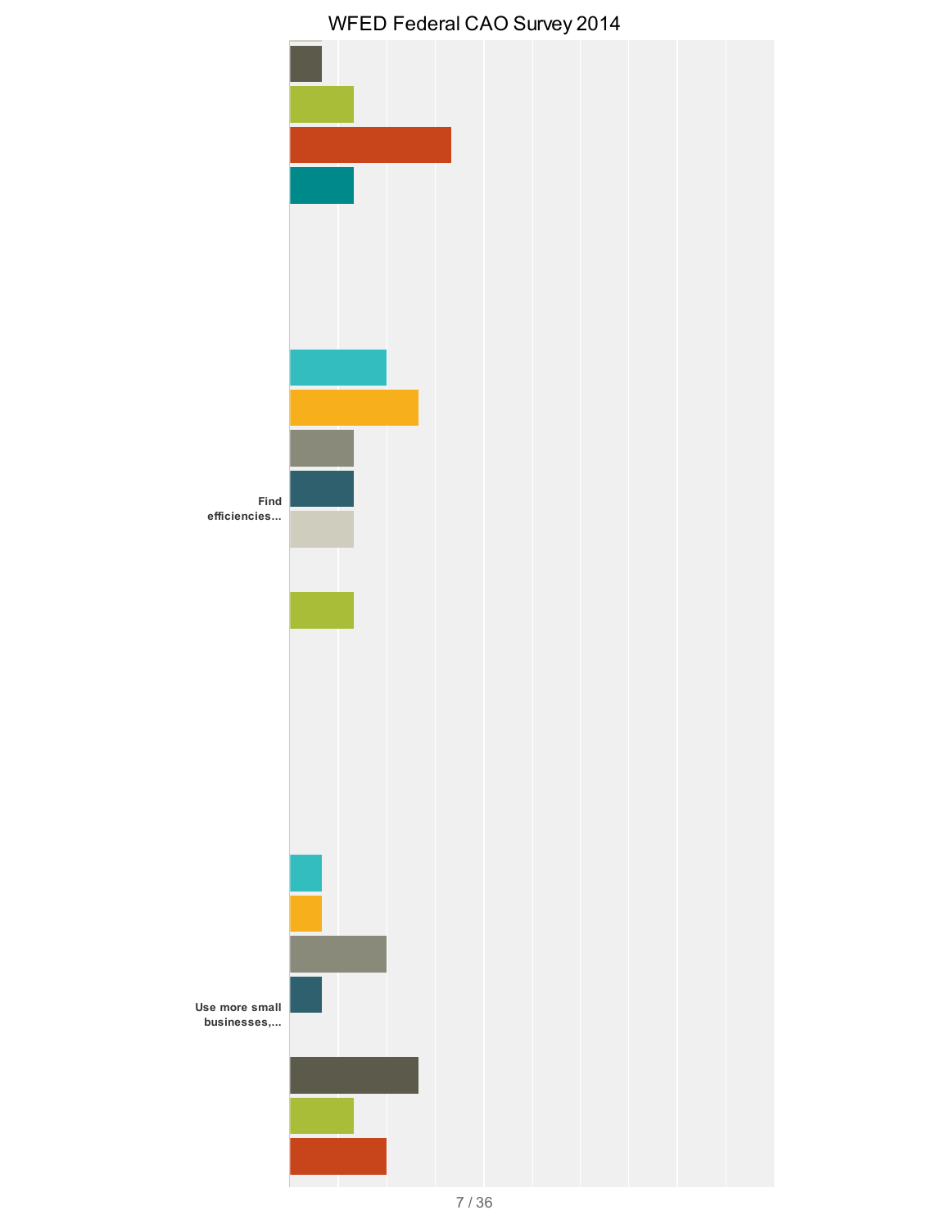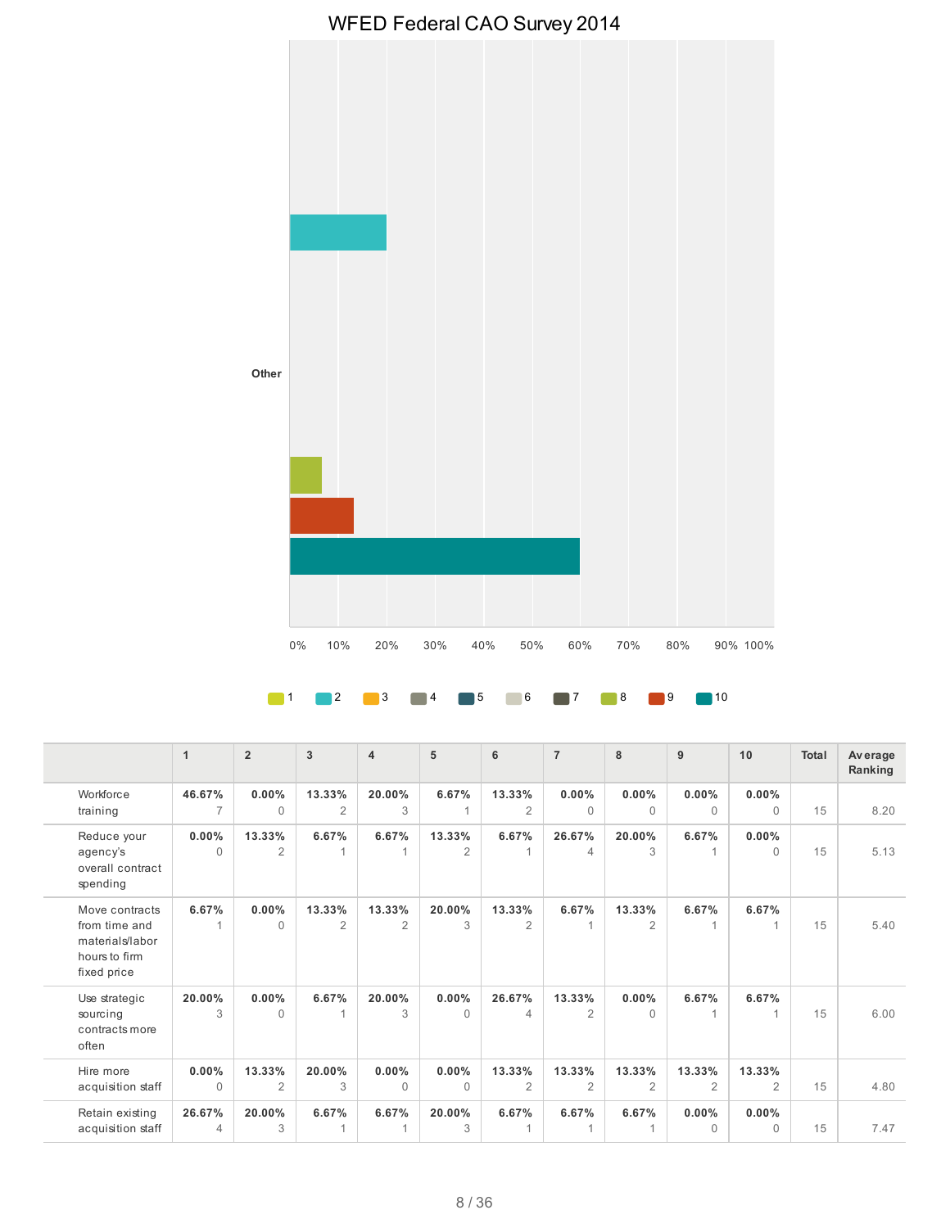

#### 1 **2 3 4 5 6 7 8 9** 10

|                                                                                    | $\mathbf{1}$             | $\overline{2}$           | 3                        | $\overline{4}$           | 5                        | 6                        | $\overline{7}$           | 8                        | 9                        | 10                       | Total | Av erage<br>Ranking |
|------------------------------------------------------------------------------------|--------------------------|--------------------------|--------------------------|--------------------------|--------------------------|--------------------------|--------------------------|--------------------------|--------------------------|--------------------------|-------|---------------------|
| Workforce<br>training                                                              | 46.67%<br>$\overline{7}$ | 0.00%<br>$\Omega$        | 13.33%<br>$\overline{2}$ | 20.00%<br>3              | 6.67%                    | 13.33%<br>$\overline{2}$ | 0.00%<br>$\Omega$        | $0.00\%$<br>$\Omega$     | $0.00\%$<br>$\mathbf{0}$ | 0.00%<br>$\Omega$        | 15    | 8.20                |
| Reduce your<br>agency's<br>overall contract<br>spending                            | 0.00%<br>$\Omega$        | 13.33%<br>$\overline{2}$ | 6.67%<br>1               | 6.67%                    | 13.33%<br>$\overline{2}$ | 6.67%<br>1               | 26.67%<br>4              | 20.00%<br>3              | 6.67%<br>1               | $0.00\%$<br>$\Omega$     | 15    | 5.13                |
| Move contracts<br>from time and<br>materials/labor<br>hours to firm<br>fixed price | 6.67%<br>1               | 0.00%<br>$\Omega$        | 13.33%<br>$\overline{2}$ | 13.33%<br>$\overline{2}$ | 20.00%<br>3              | 13.33%<br>$\overline{2}$ | 6.67%<br>1               | 13.33%<br>$\overline{2}$ | 6.67%<br>1               | 6.67%                    | 15    | 5.40                |
| Use strategic<br>sourcing<br>contracts more<br>often                               | 20.00%<br>3              | $0.00\%$<br>$\Omega$     | 6.67%<br>1               | 20.00%<br>3              | $0.00\%$<br>$\Omega$     | 26.67%<br>4              | 13.33%<br>$\overline{2}$ | $0.00\%$<br>$\Omega$     | 6.67%<br>1               | 6.67%                    | 15    | 6.00                |
| Hire more<br>acquisition staff                                                     | 0.00%<br>$\Omega$        | 13.33%<br>$\overline{2}$ | 20.00%<br>3              | 0.00%<br>$\Omega$        | 0.00%<br>$\Omega$        | 13.33%<br>$\overline{2}$ | 13.33%<br>$\overline{2}$ | 13.33%<br>2              | 13.33%<br>2              | 13.33%<br>$\overline{2}$ | 15    | 4.80                |
| Retain existing<br>acquisition staff                                               | 26.67%<br>4              | 20.00%<br>3              | 6.67%<br>1               | 6.67%<br>$\overline{1}$  | 20.00%<br>3              | 6.67%<br>1               | 6.67%<br>1               | 6.67%                    | 0.00%<br>$\mathbf{0}$    | 0.00%<br>$\Omega$        | 15    | 7.47                |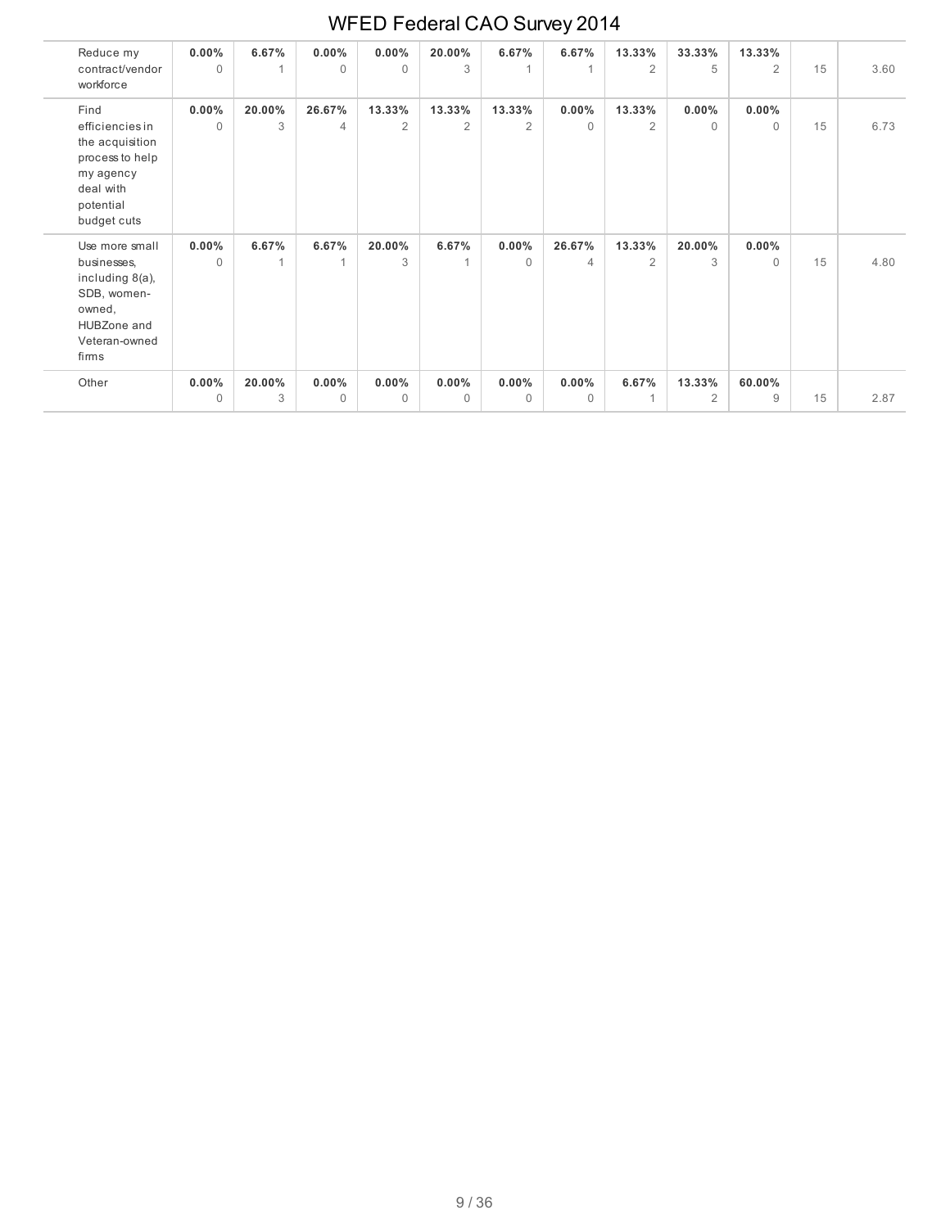| Reduce my<br>contract/vendor<br>workforce                                                                           | $0.00\%$<br>$\Omega$ | 6.67%       | $0.00\%$<br>$\Omega$     | 0.00%<br>$\Omega$        | 20.00%<br>3              | 6.67%                    | 6.67%                    | 13.33%<br>2              | 33.33%<br>5              | 13.33%<br>2          | 15 | 3.60 |
|---------------------------------------------------------------------------------------------------------------------|----------------------|-------------|--------------------------|--------------------------|--------------------------|--------------------------|--------------------------|--------------------------|--------------------------|----------------------|----|------|
| Find<br>efficiencies in<br>the acquisition<br>process to help<br>my agency<br>deal with<br>potential<br>budget cuts | $0.00\%$<br>$\Omega$ | 20.00%<br>3 | 26.67%<br>$\overline{4}$ | 13.33%<br>$\overline{2}$ | 13.33%<br>$\overline{2}$ | 13.33%<br>$\overline{2}$ | 0.00%<br>$\Omega$        | 13.33%<br>$\overline{2}$ | $0.00\%$<br>$\mathbf{0}$ | $0.00\%$<br>$\Omega$ | 15 | 6.73 |
| Use more small<br>businesses,<br>including 8(a),<br>SDB, women-<br>owned,<br>HUBZone and<br>Veteran-owned<br>firms  | $0.00\%$<br>$\Omega$ | 6.67%       | 6.67%                    | 20.00%<br>3              | 6.67%                    | $0.00\%$<br>$\Omega$     | 26.67%<br>$\overline{4}$ | 13.33%<br>2              | 20.00%<br>3              | $0.00\%$<br>$\Omega$ | 15 | 4.80 |
| Other                                                                                                               | $0.00\%$             | 20.00%      | $0.00\%$                 | 0.00%                    | $0.00\%$                 | $0.00\%$                 | 0.00%                    | 6.67%                    | 13.33%                   | 60.00%               |    |      |
|                                                                                                                     | $\Omega$             | 3           | $\Omega$                 | $\Omega$                 | $\Omega$                 | $\mathbf{0}$             | $\Omega$                 |                          | 2                        | 9                    | 15 | 2.87 |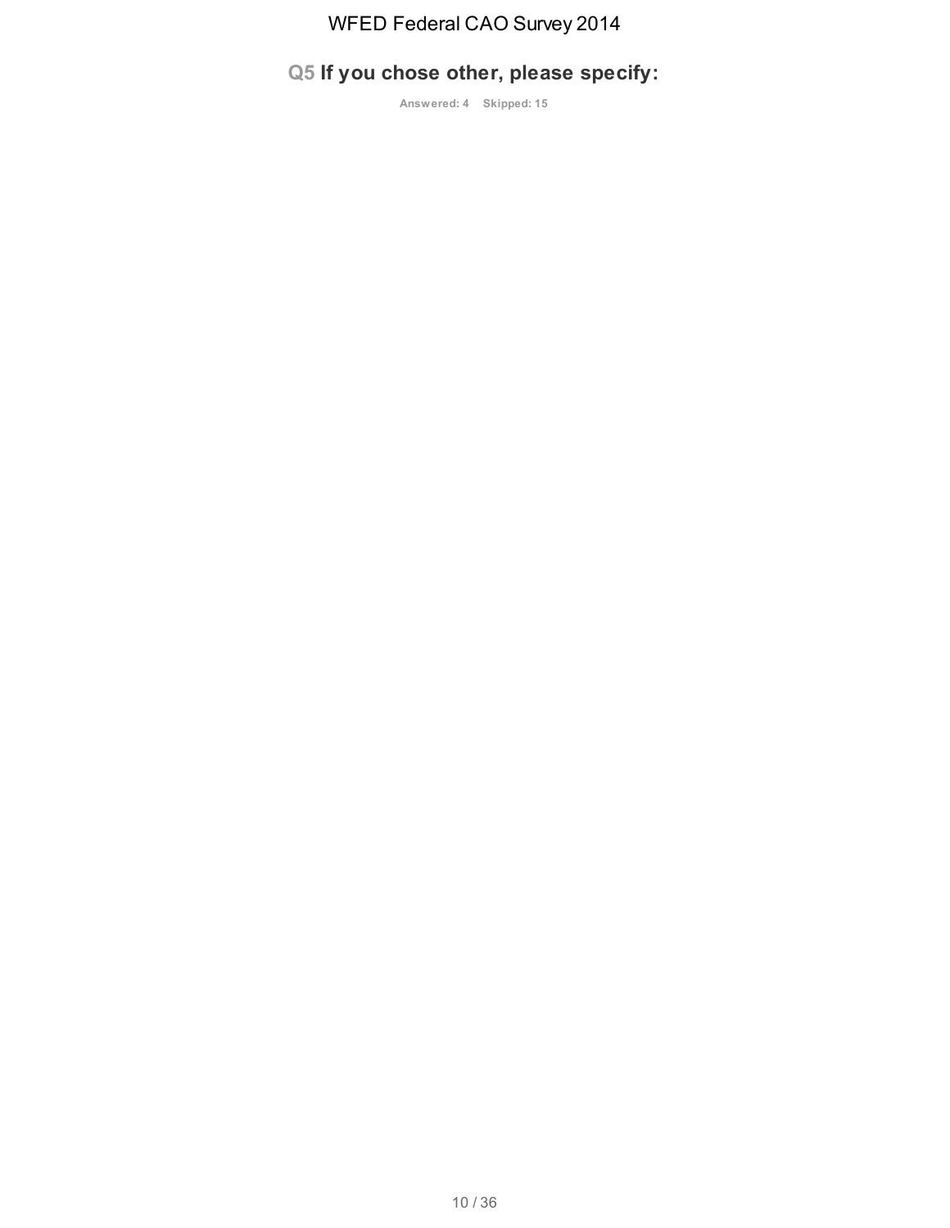# **Q5 If you chose other, please specify:**

**Answered: 4 Skipped: 15**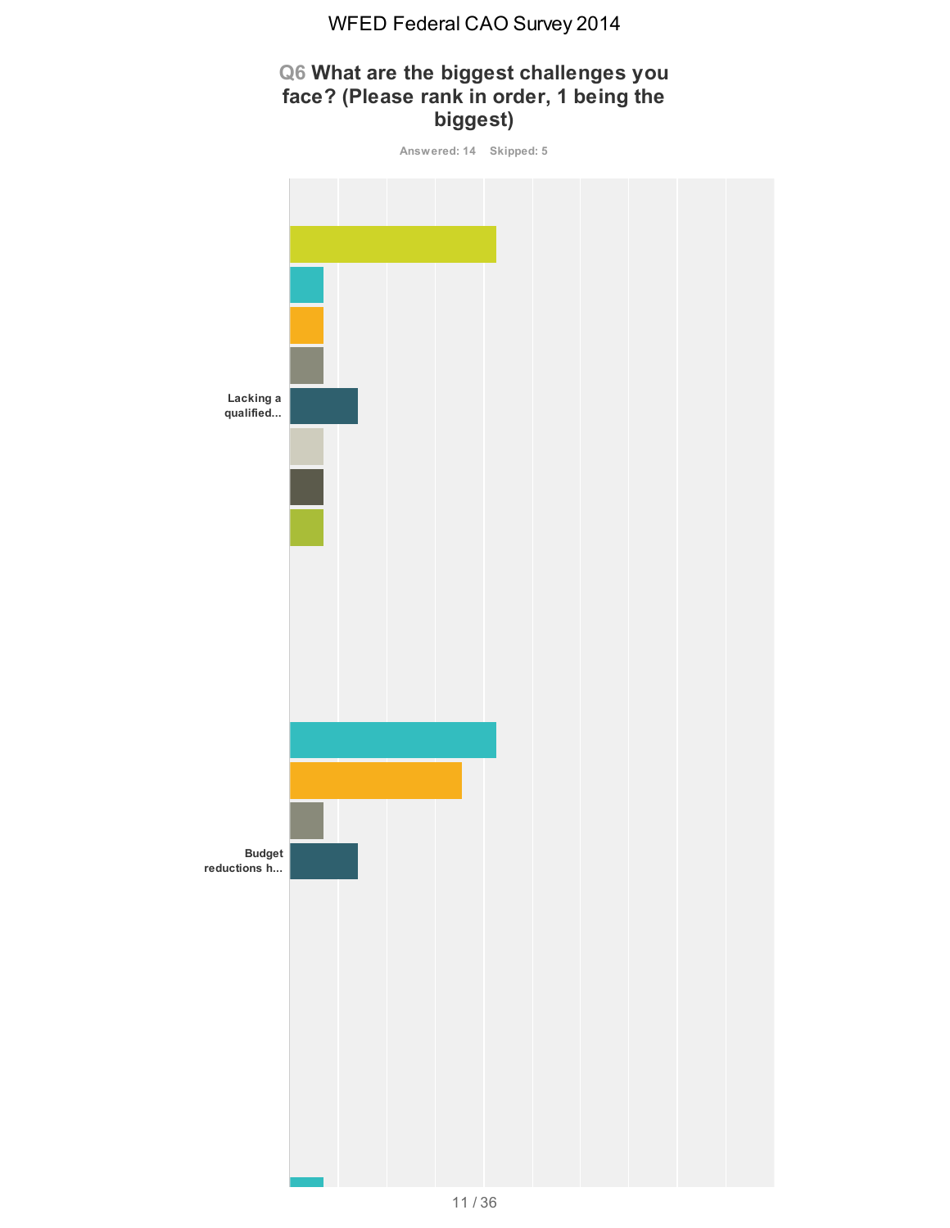# **Q6 What are the biggest challenges you face? (Please rank in order, 1 being the biggest)**

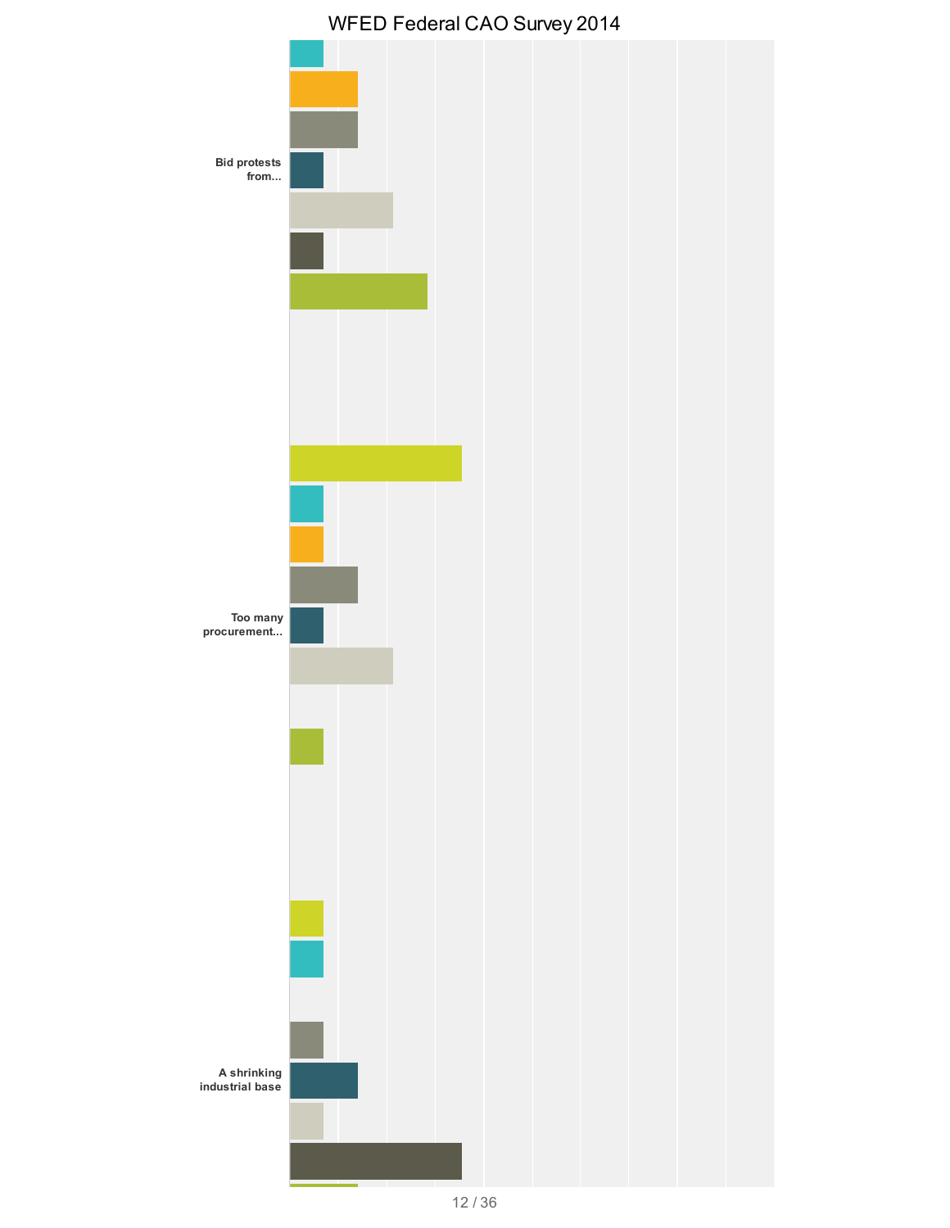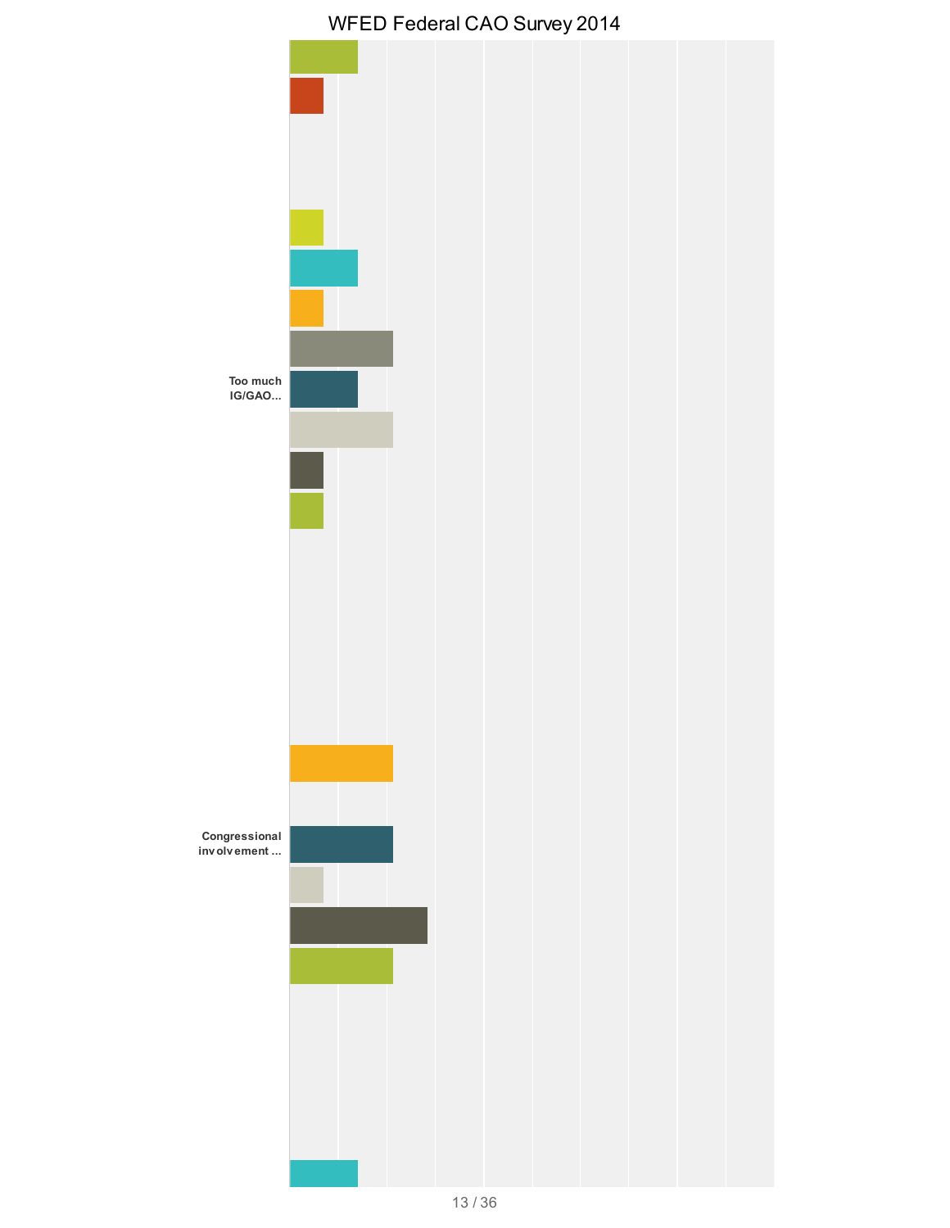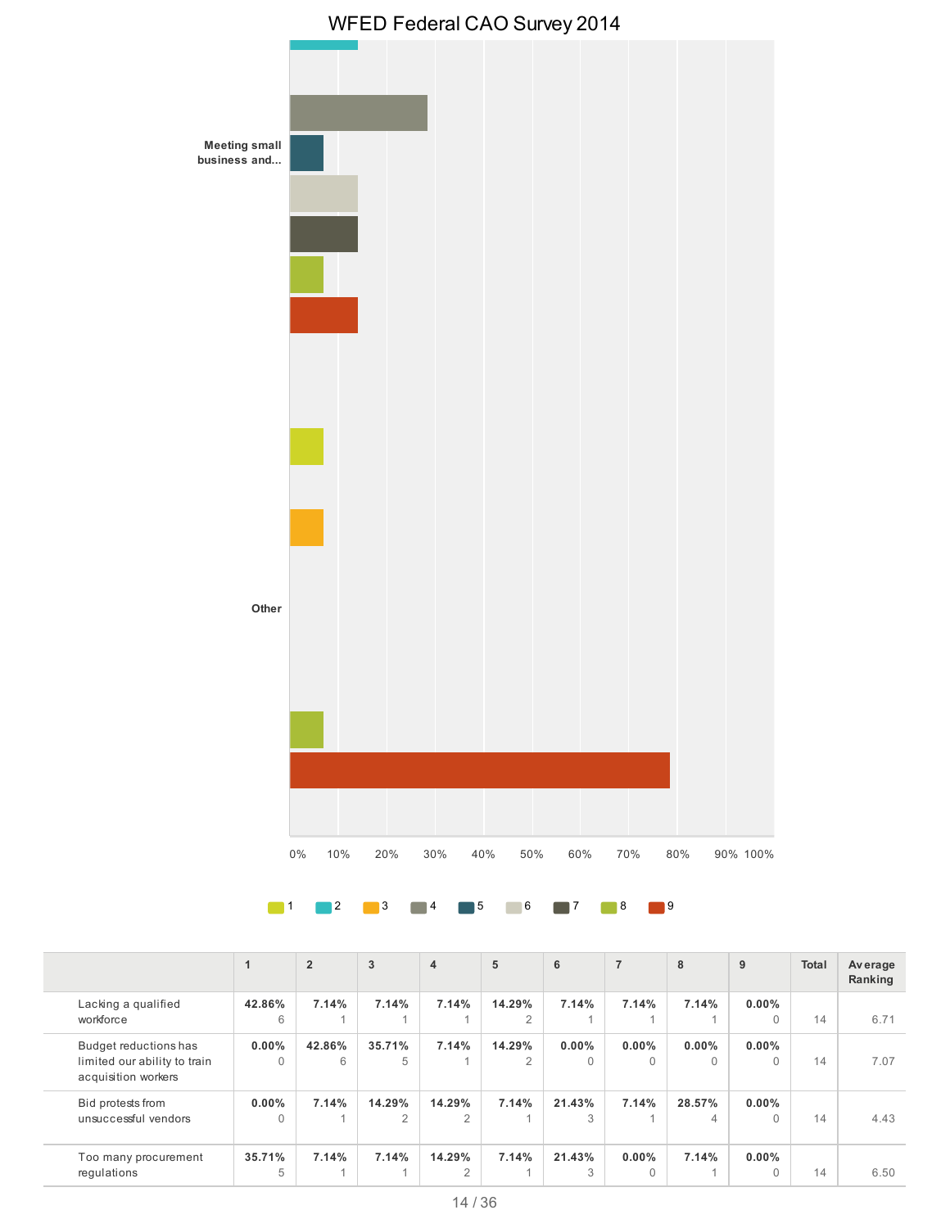



1 2 3 4 5 6 7 8 9

|                                                                              |                      | $\overline{2}$ | 3                        | $\overline{4}$           | 5           | 6                    | $\overline{7}$       | 8             | 9                    | <b>Total</b> | Average<br>Ranking |
|------------------------------------------------------------------------------|----------------------|----------------|--------------------------|--------------------------|-------------|----------------------|----------------------|---------------|----------------------|--------------|--------------------|
| Lacking a qualified<br>workforce                                             | 42.86%<br>6          | 7.14%          | 7.14%                    | 7.14%                    | 14.29%<br>2 | 7.14%                | 7.14%                | 7.14%         | $0.00\%$<br>$\Omega$ | 14           | 6.71               |
| Budget reductions has<br>limited our ability to train<br>acquisition workers | $0.00\%$<br>$\Omega$ | 42.86%<br>6    | 35.71%<br>5              | 7.14%                    | 14.29%<br>2 | $0.00\%$<br>$\Omega$ | $0.00\%$<br>$\Omega$ | $0.00\%$<br>0 | $0.00\%$<br>$\Omega$ | 14           | 7.07               |
| Bid protests from<br>unsuccessful vendors                                    | $0.00\%$<br>$\Omega$ | 7.14%          | 14.29%<br>$\mathfrak{D}$ | 14.29%<br>2              | 7.14%       | 21.43%<br>3          | 7.14%                | 28.57%<br>4   | $0.00\%$<br>$\Omega$ | 14           | 4.43               |
| Too many procurement<br>regulations                                          | 35.71%<br>5          | 7.14%          | 7.14%                    | 14.29%<br>$\overline{2}$ | 7.14%       | 21.43%<br>3          | $0.00\%$<br>$\Omega$ | 7.14%         | $0.00\%$<br>$\Omega$ | 14           | 6.50               |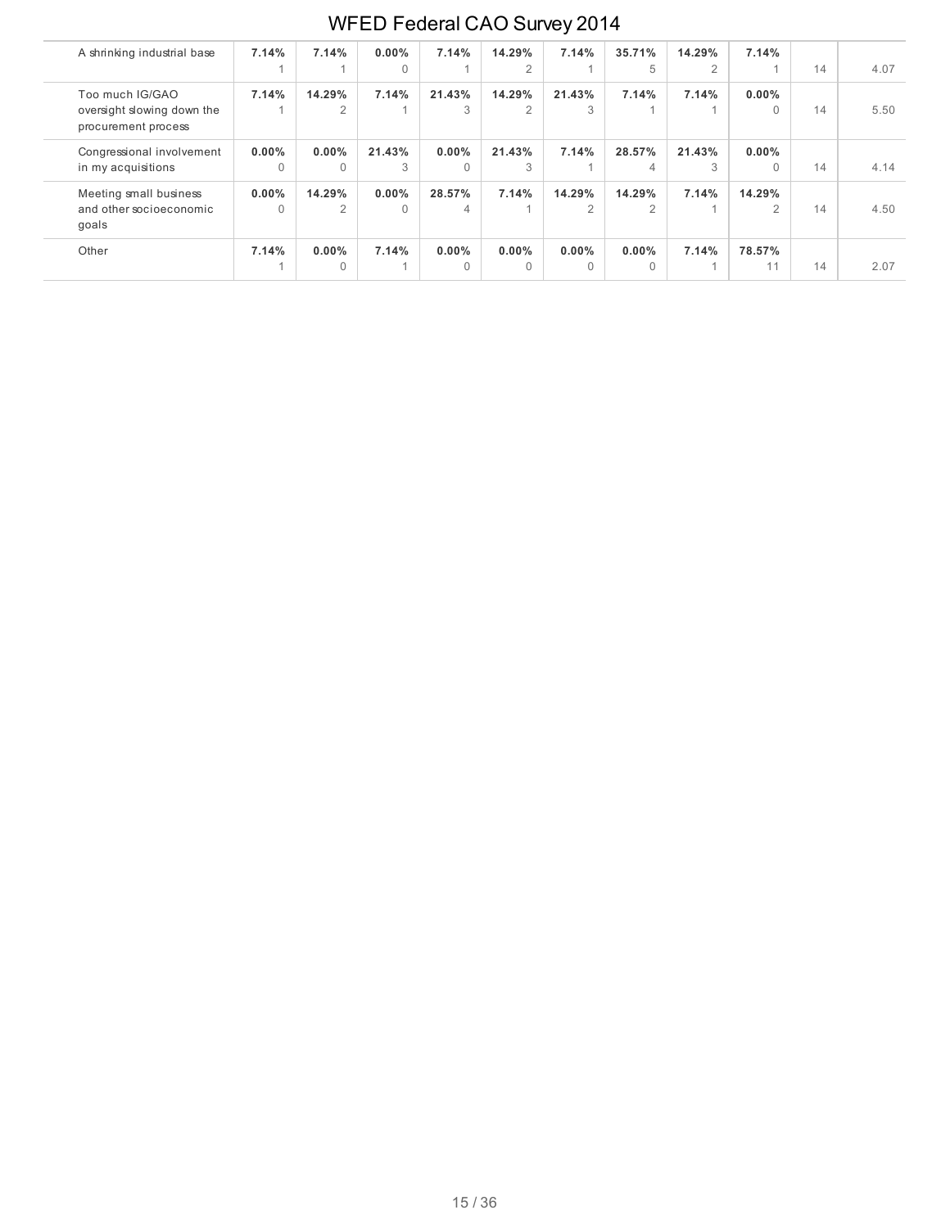| A shrinking industrial base                                          | 7.14%                | 7.14%                | $0.00\%$<br>$\Omega$ | 7.14%                | 14.29%<br>2          | 7.14%                   | 35.71%<br>5 | 14.29%<br>$\overline{2}$ | 7.14%                   | 14 | 4.07 |
|----------------------------------------------------------------------|----------------------|----------------------|----------------------|----------------------|----------------------|-------------------------|-------------|--------------------------|-------------------------|----|------|
| Too much IG/GAO<br>oversight slowing down the<br>procurement process | 7.14%                | 14.29%<br>2          | 7.14%                | 21.43%<br>3          | 14.29%<br>2          | 21.43%<br>3             | 7.14%       | 7.14%                    | $0.00\%$                | 14 | 5.50 |
| Congressional involvement<br>in my acquisitions                      | $0.00\%$<br>$\Omega$ | $0.00\%$<br>$\Omega$ | 21.43%<br>3          | $0.00\%$<br>$\Omega$ | 21.43%<br>3          | 7.14%                   | 28.57%<br>4 | 21.43%<br>3              | $0.00\%$                | 14 | 4.14 |
| Meeting small business<br>and other socioeconomic<br>goals           | $0.00\%$<br>$\Omega$ | 14.29%<br>2          | $0.00\%$<br>$\Omega$ | 28.57%<br>4          | 7.14%                | 14.29%<br>$\mathcal{P}$ | 14.29%<br>2 | 7.14%                    | 14.29%<br>$\mathcal{P}$ | 14 | 4.50 |
| Other                                                                | 7.14%                | $0.00\%$<br>$\Omega$ | 7.14%                | $0.00\%$<br>$\Omega$ | $0.00\%$<br>$\Omega$ | $0.00\%$<br>$\cap$      | $0.00\%$    | 7.14%                    | 78.57%<br>11            | 14 | 2.07 |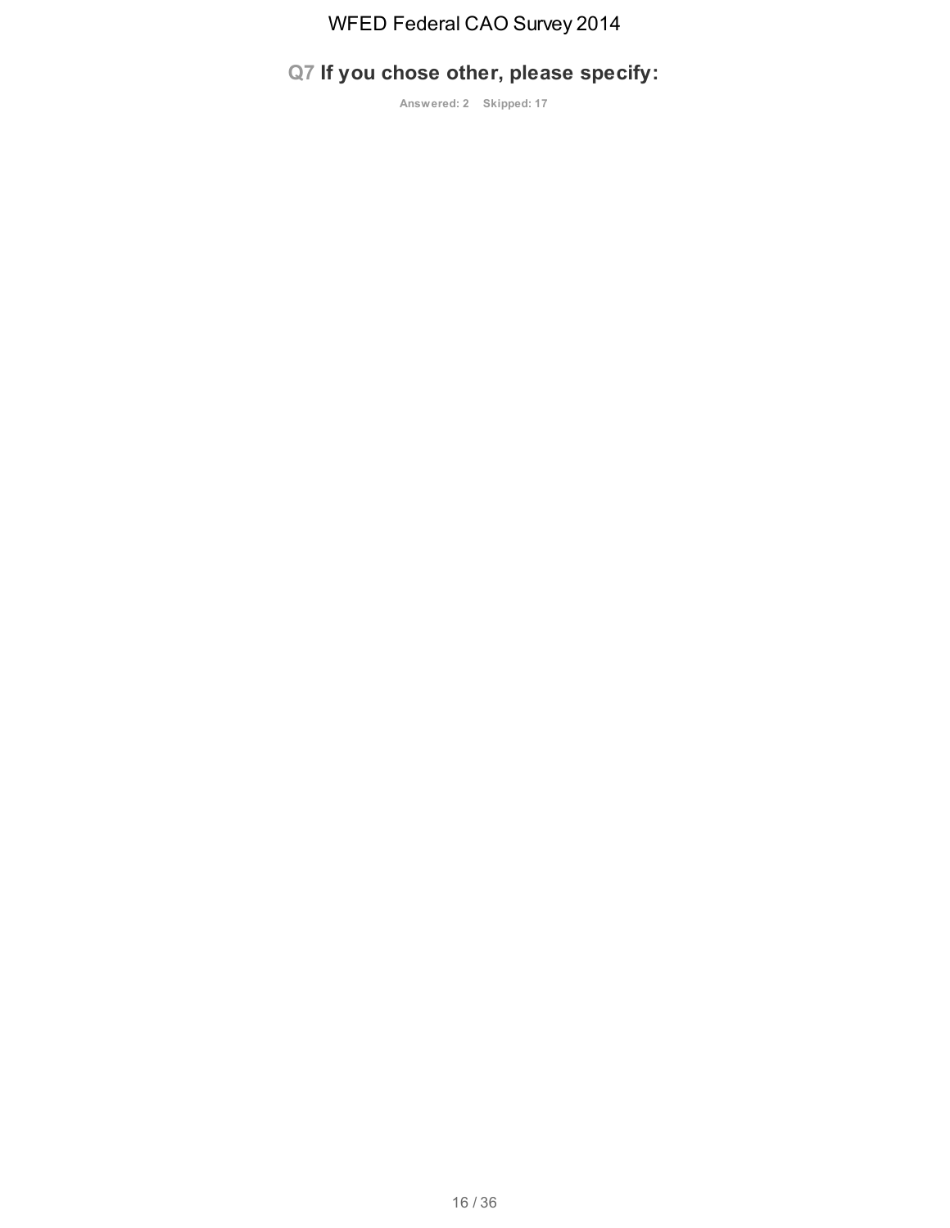# **Q7 If you chose other, please specify:**

**Answered: 2 Skipped: 17**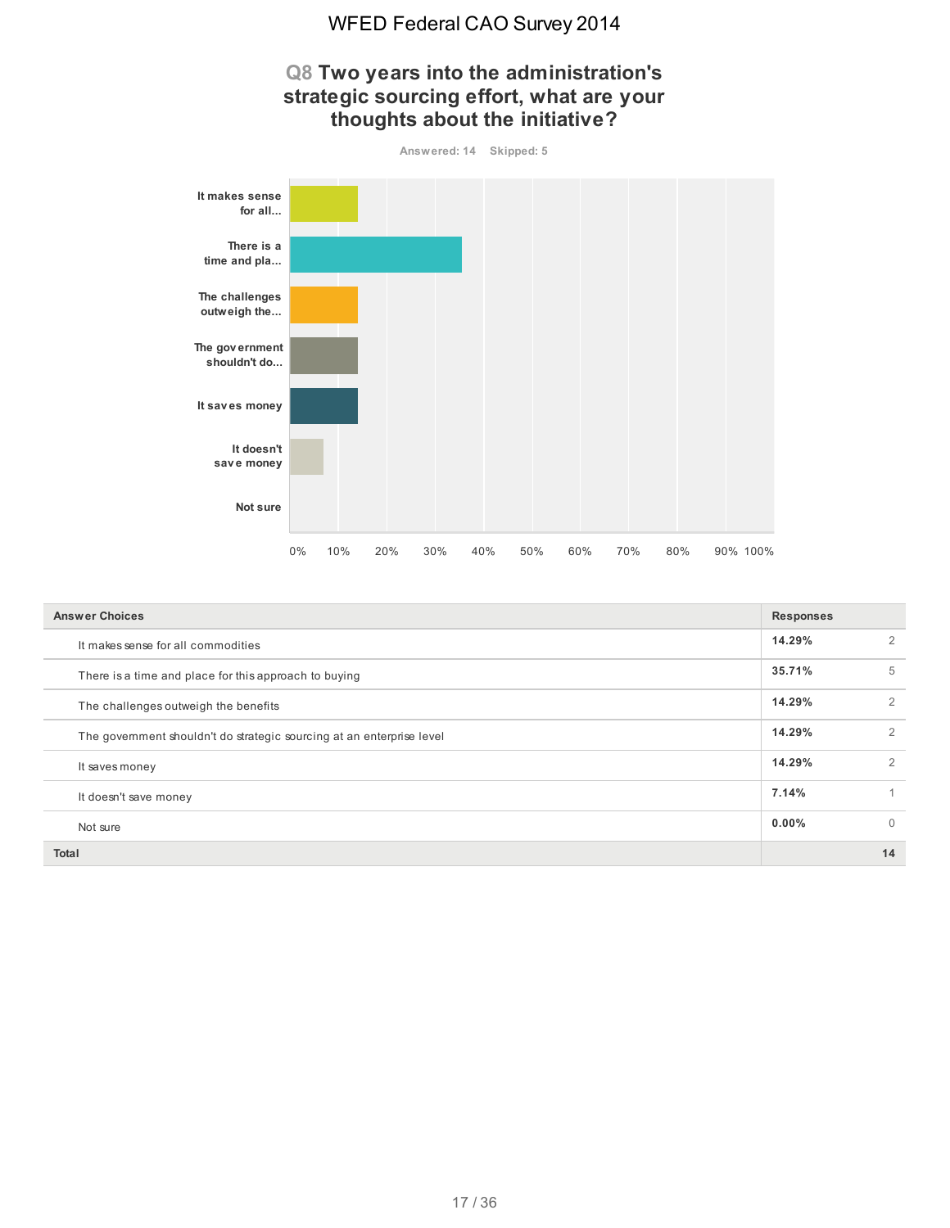

| <b>Answer Choices</b>                                                 | <b>Responses</b> |                |  |
|-----------------------------------------------------------------------|------------------|----------------|--|
| It makes sense for all commodities                                    | 14.29%           | 2              |  |
| There is a time and place for this approach to buying                 | 35.71%           | 5              |  |
| The challenges outweigh the benefits                                  | 14.29%           | $\overline{2}$ |  |
| The government shouldn't do strategic sourcing at an enterprise level | 14.29%           | $\overline{2}$ |  |
| It saves money                                                        | 14.29%           | 2              |  |
| It doesn't save money                                                 | 7.14%            |                |  |
| Not sure                                                              | $0.00\%$         | $\Omega$       |  |
| <b>Total</b>                                                          |                  | 14             |  |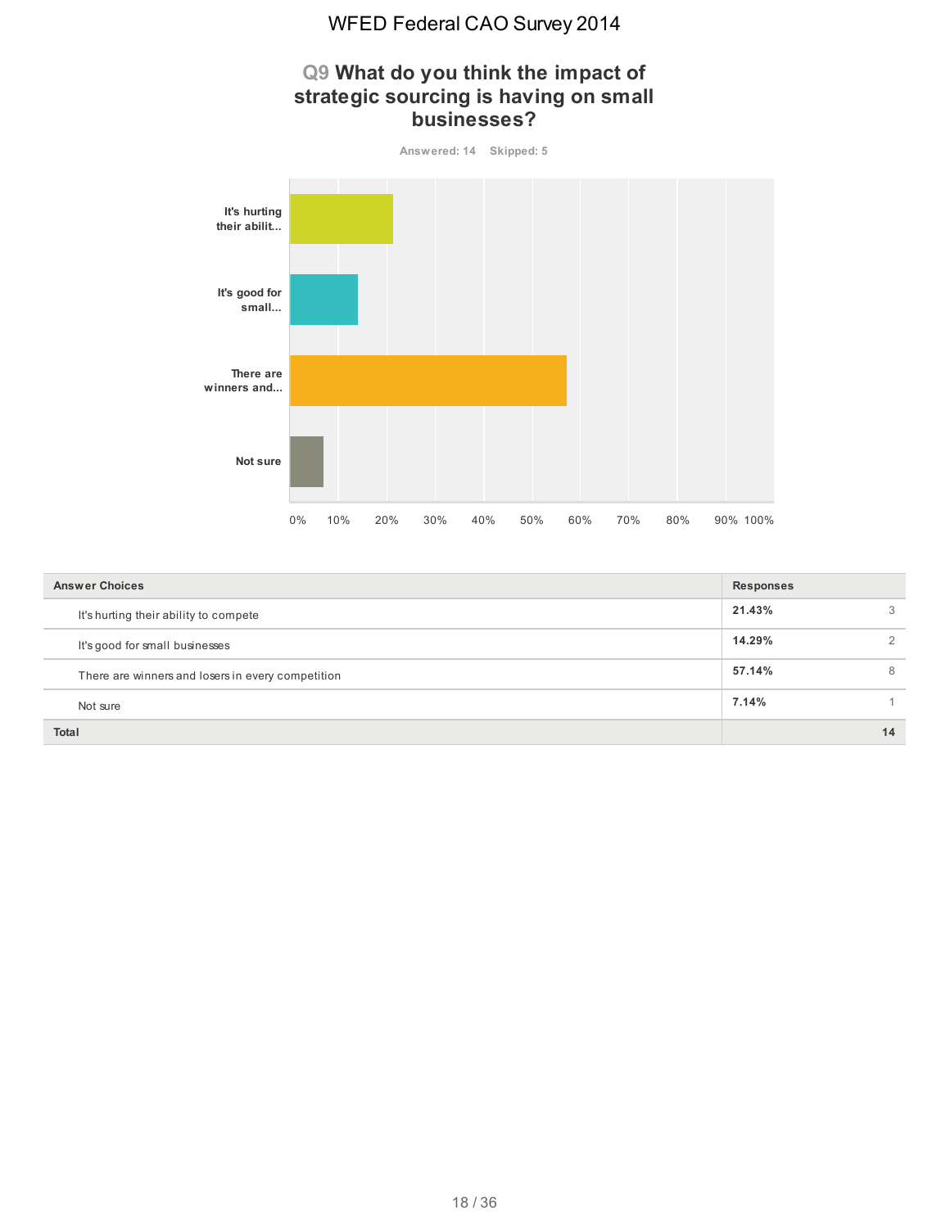# **Q9 What do you think the impact of strategic sourcing is having on small businesses? Answered: 14 Skipped: 5 It's hurting their abilit... It's good for small... There are winners and...**

|                                                   | 0% | 10% | 20% | 30% | 40% | 50% | 60% | 70% | 80% | 90% 100%         |                |
|---------------------------------------------------|----|-----|-----|-----|-----|-----|-----|-----|-----|------------------|----------------|
| <b>Answer Choices</b>                             |    |     |     |     |     |     |     |     |     | <b>Responses</b> |                |
| It's hurting their ability to compete             |    |     |     |     |     |     |     |     |     | 21.43%           | 3              |
| It's good for small businesses                    |    |     |     |     |     |     |     |     |     | 14.29%           | $\overline{2}$ |
| There are winners and losers in every competition |    |     |     |     |     |     |     |     |     | 57.14%           | 8              |
| Not sure                                          |    |     |     |     |     |     |     |     |     | 7.14%            |                |
|                                                   |    |     |     |     |     |     |     |     |     |                  |                |

**Not sure**

**Total 14**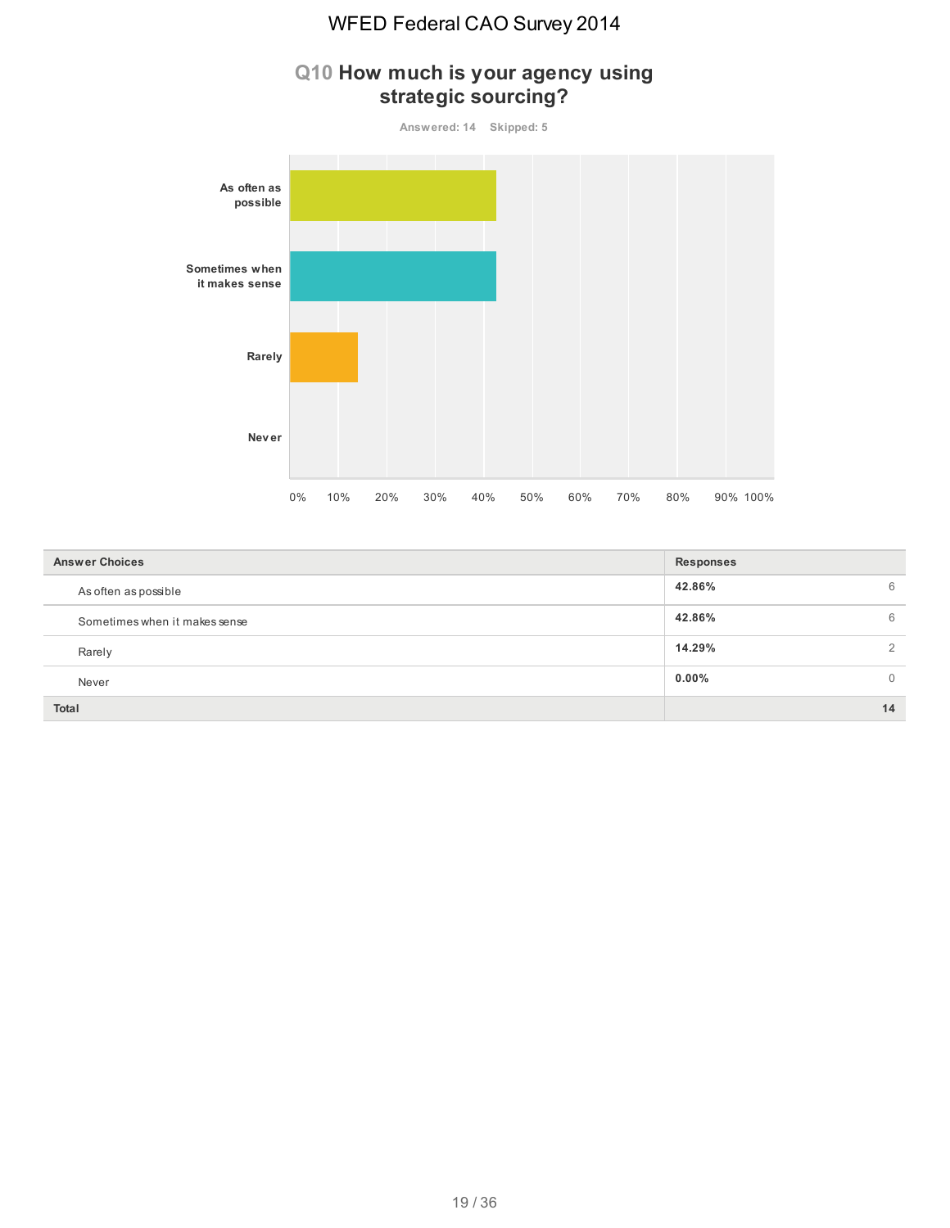

| <b>Answer Choices</b>         | <b>Responses</b>     |  |  |  |
|-------------------------------|----------------------|--|--|--|
| As often as possible          | 42.86%<br>6          |  |  |  |
| Sometimes when it makes sense | 42.86%<br>6          |  |  |  |
| Rarely                        | 14.29%               |  |  |  |
| Never                         | $0.00\%$<br>$\Omega$ |  |  |  |
| Total                         | 14                   |  |  |  |

#### 19 / 36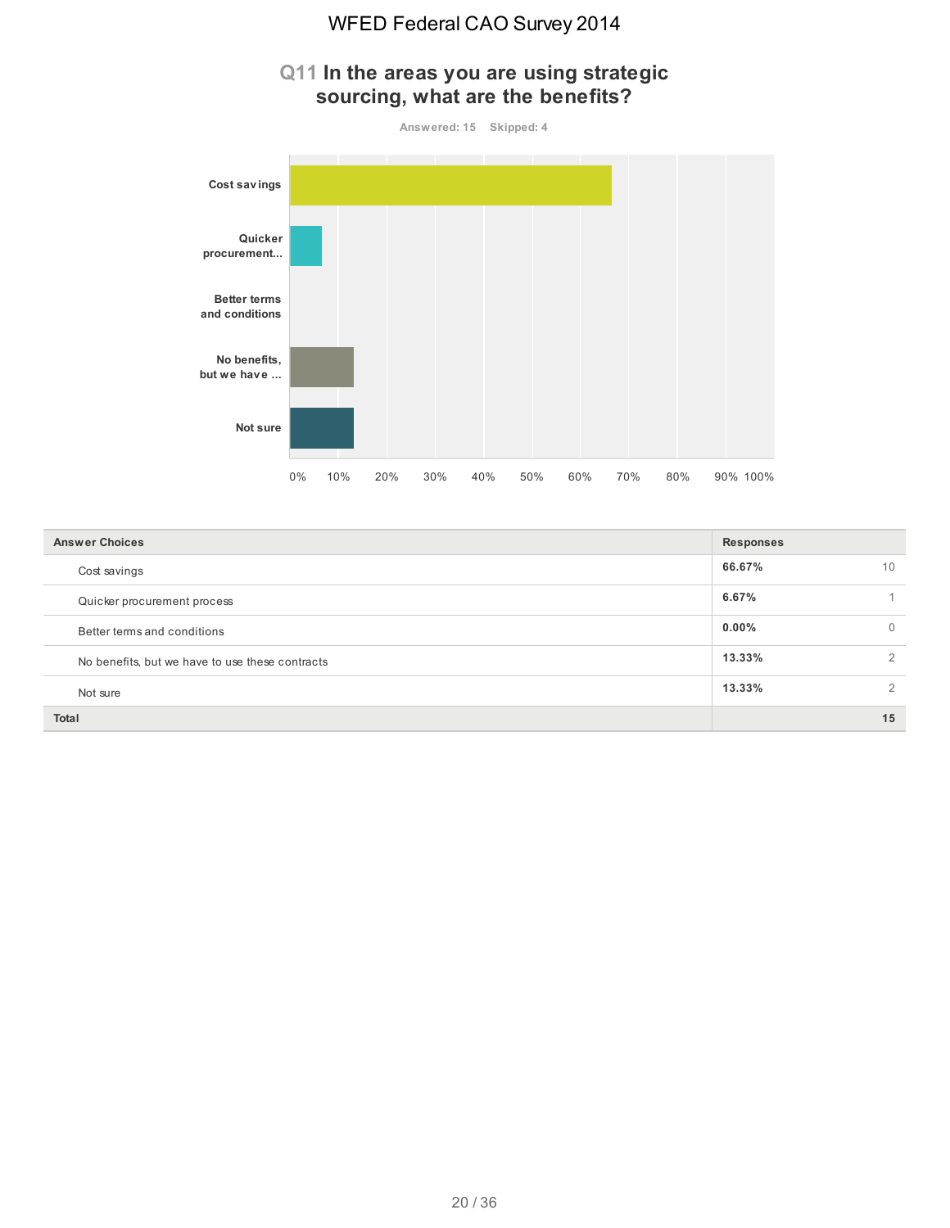#### **Q11 In the areas you are using strategic sourcing, what are the benefits?**





| <b>Answer Choices</b>                           | <b>Responses</b>     |
|-------------------------------------------------|----------------------|
| Cost savings                                    | 66.67%<br>10         |
| Quicker procurement process                     | 6.67%                |
| Better terms and conditions                     | $0.00\%$<br>$\Omega$ |
| No benefits, but we have to use these contracts | 13.33%<br>2          |
| Not sure                                        | 13.33%<br>2          |
| <b>Total</b>                                    | 15                   |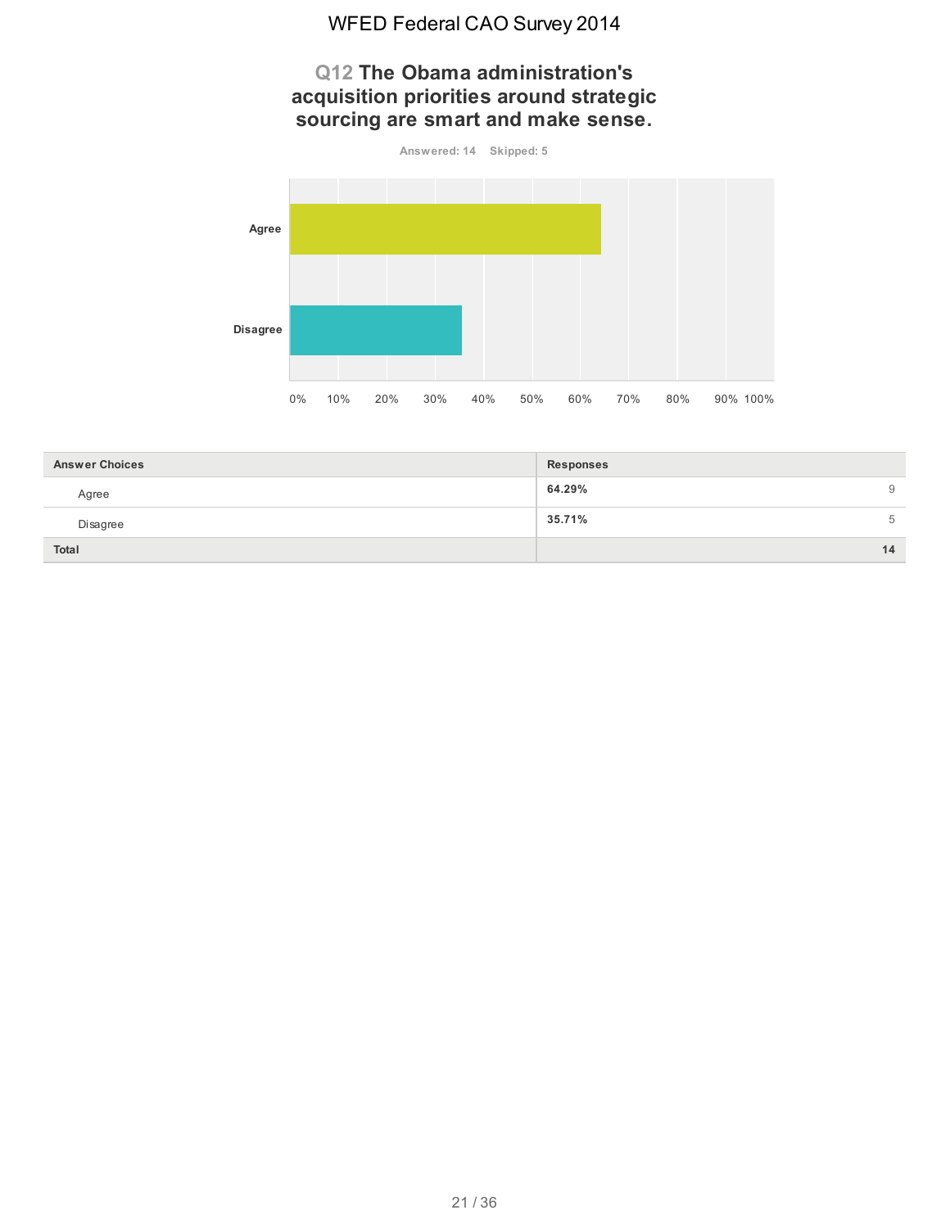#### **Q12 The Obama administration's acquisition priorities around strategic sourcing are smart and make sense.**



| <b>Answer Choices</b> | <b>Responses</b> |
|-----------------------|------------------|
| Agree                 | 64.29%<br>9      |
| Disagree              | 35.71%<br>5      |
| Total                 | 14               |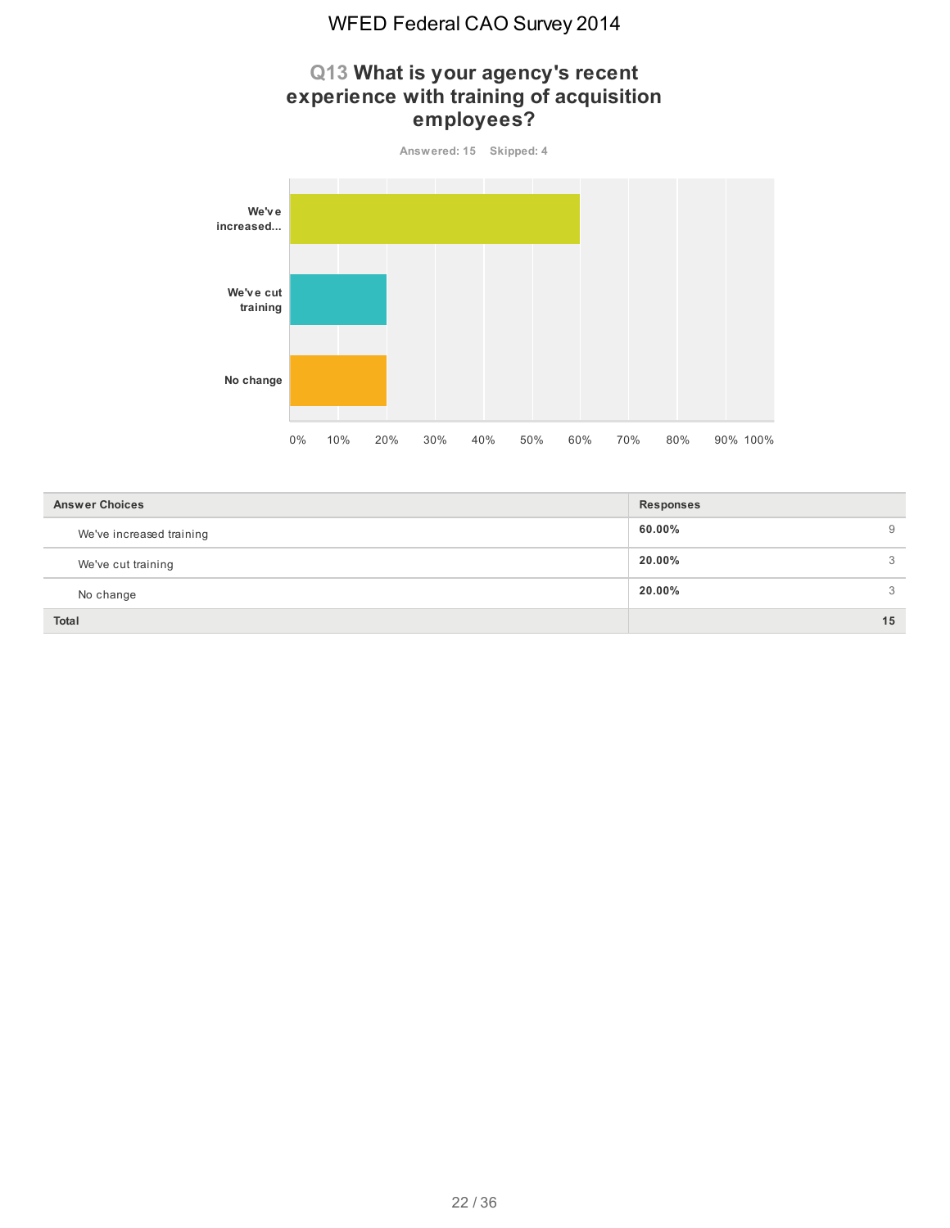#### **Q13 What is your agency's recent experience with training of acquisition employees?**



| <b>Answer Choices</b>    | <b>Responses</b> |
|--------------------------|------------------|
| We've increased training | 60.00%<br>9      |
| We've cut training       | 20.00%<br>3      |
| No change                | 20.00%<br>3      |
| <b>Total</b>             | 15               |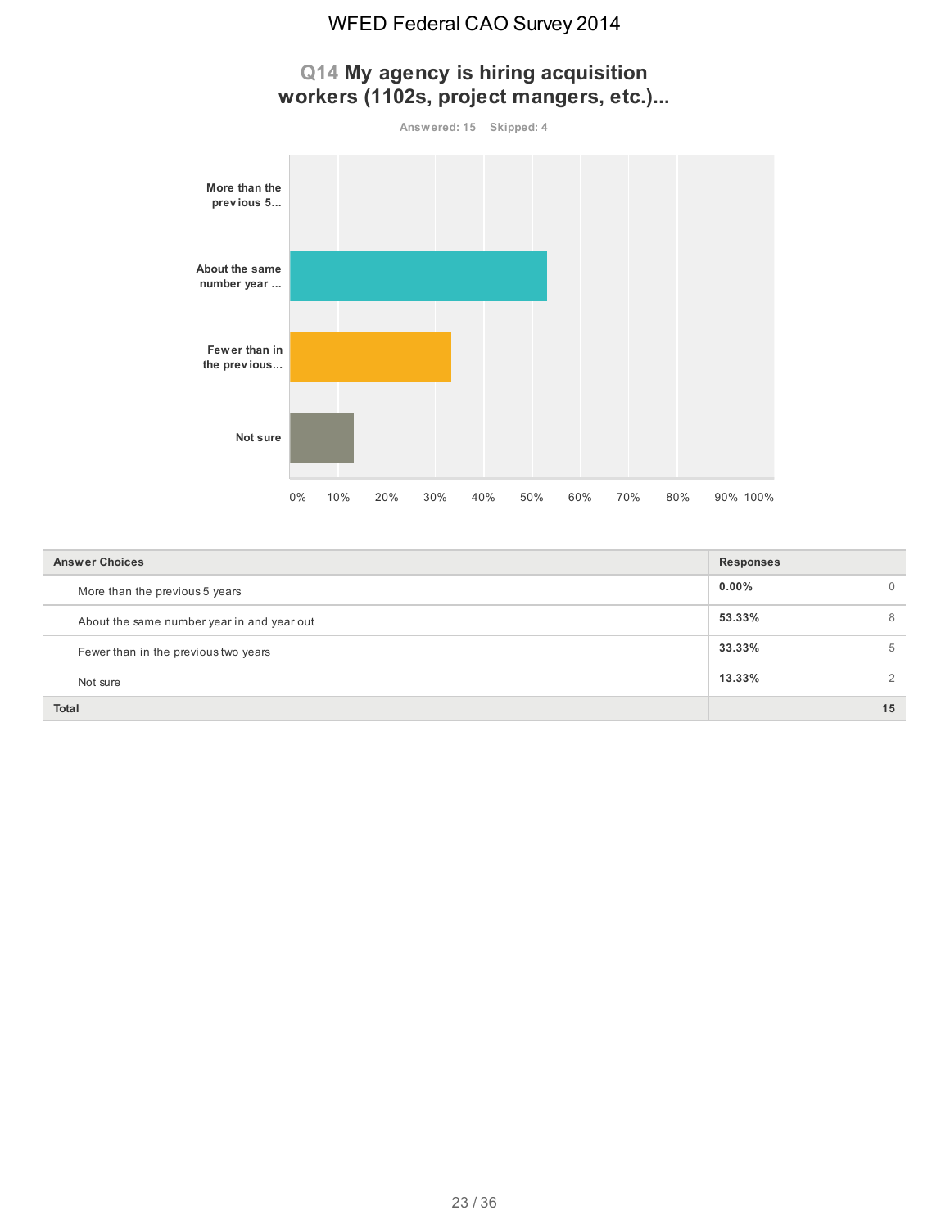# **Q14 My agency is hiring acquisition workers (1102s, project mangers, etc.)...**



| <b>Answer Choices</b>                      | <b>Responses</b> |    |
|--------------------------------------------|------------------|----|
| More than the previous 5 years             | $0.00\%$         | 0  |
| About the same number year in and year out | 53.33%           | 8  |
| Fewer than in the previous two years       | 33.33%           | 5  |
| Not sure                                   | 13.33%           | 2  |
| <b>Total</b>                               |                  | 15 |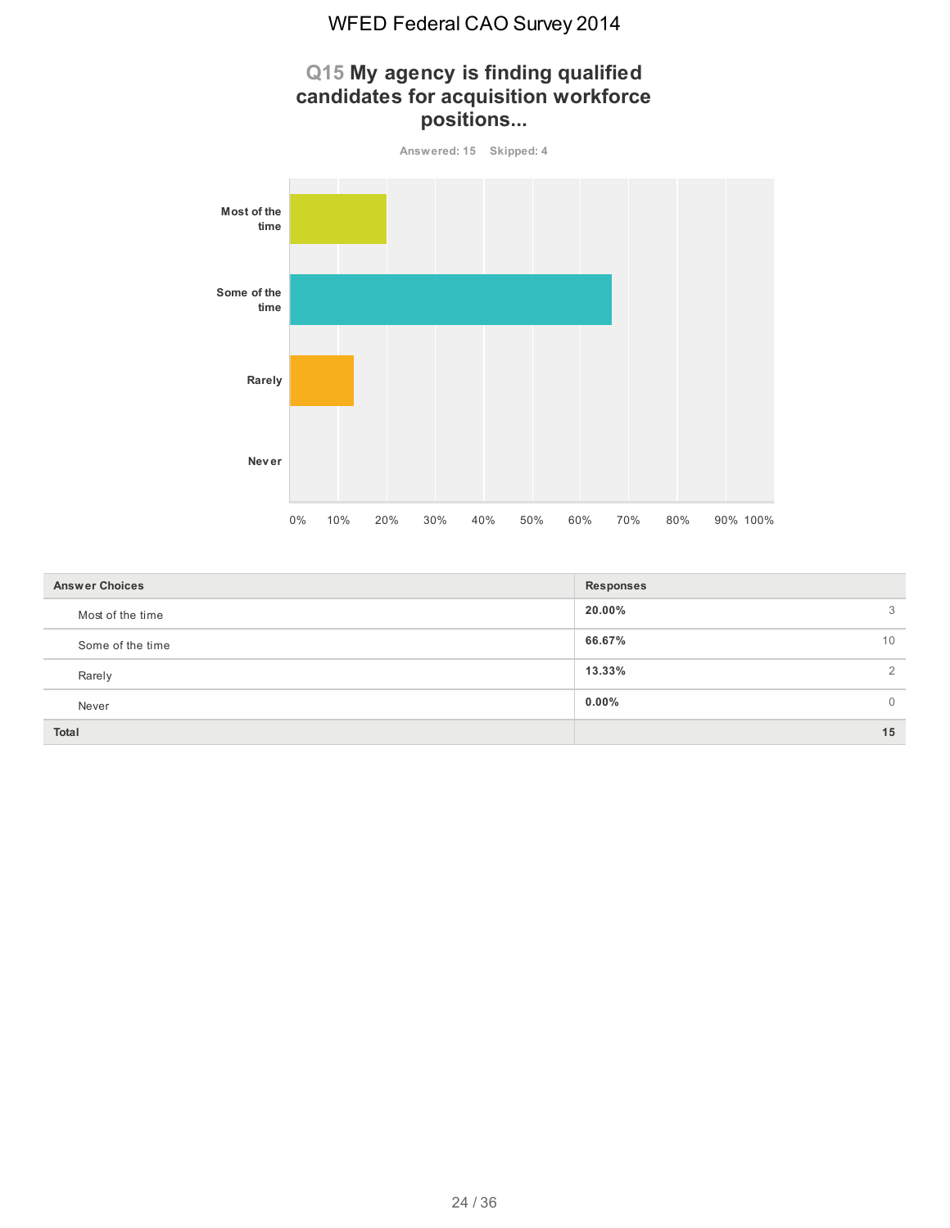

| <b>Answer Choices</b> | Responses |                |
|-----------------------|-----------|----------------|
| Most of the time      | 20.00%    | 3              |
| Some of the time      | 66.67%    | 10             |
| Rarely                | 13.33%    | $\overline{2}$ |
| Never                 | 0.00%     | 0              |
| <b>Total</b>          |           | 15             |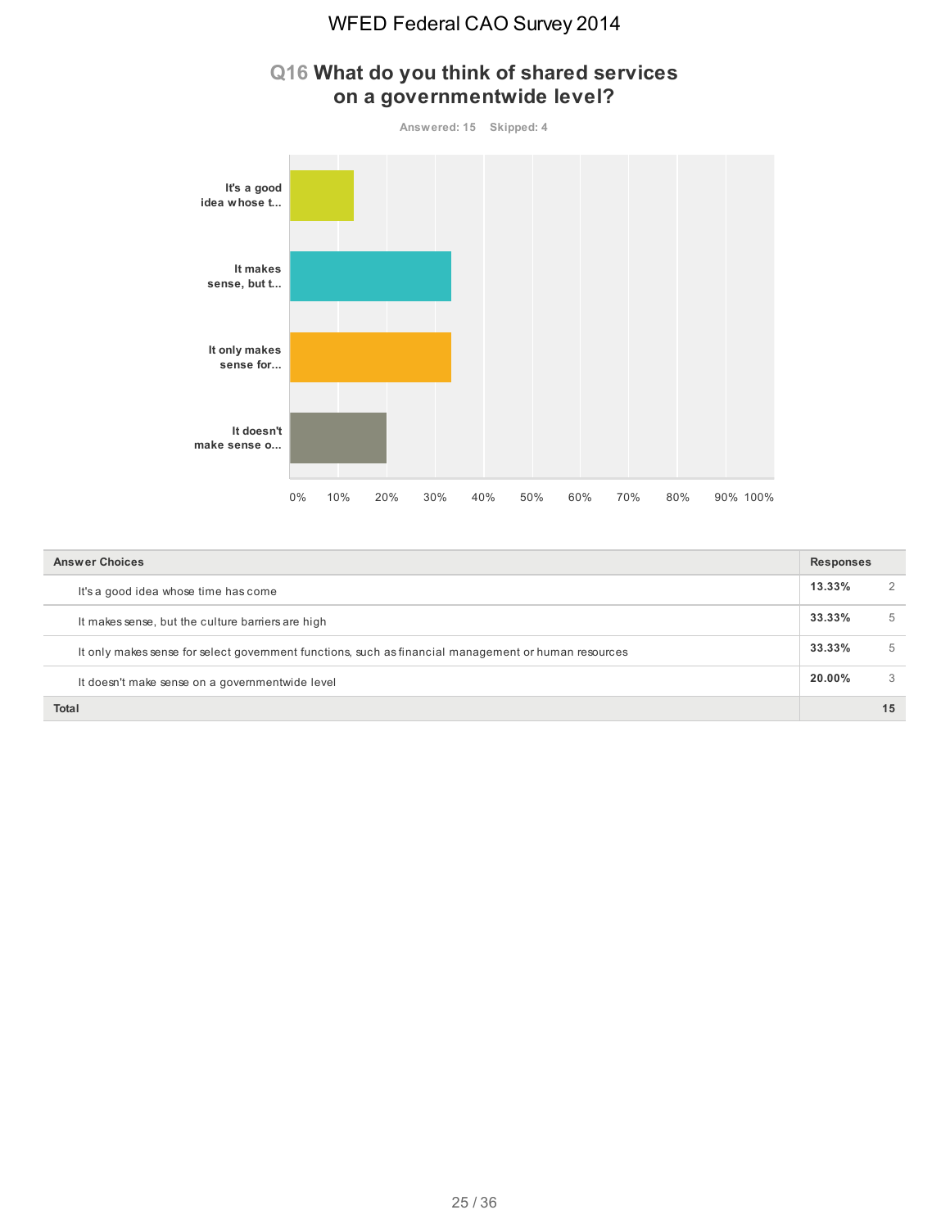

# **Q16 What do you think of shared services on a governmentwide level?**

| <b>Answer Choices</b>                                                                                | <b>Responses</b> |               |
|------------------------------------------------------------------------------------------------------|------------------|---------------|
| It's a good idea whose time has come                                                                 | $13.33\%$        |               |
| It makes sense, but the culture barriers are high                                                    | 33.33%           | $\mathcal{L}$ |
| It only makes sense for select government functions, such as financial management or human resources | 33.33%           | b.            |
| It doesn't make sense on a governmentwide level                                                      | 20.00%           | 3             |
| <b>Total</b>                                                                                         |                  | 15            |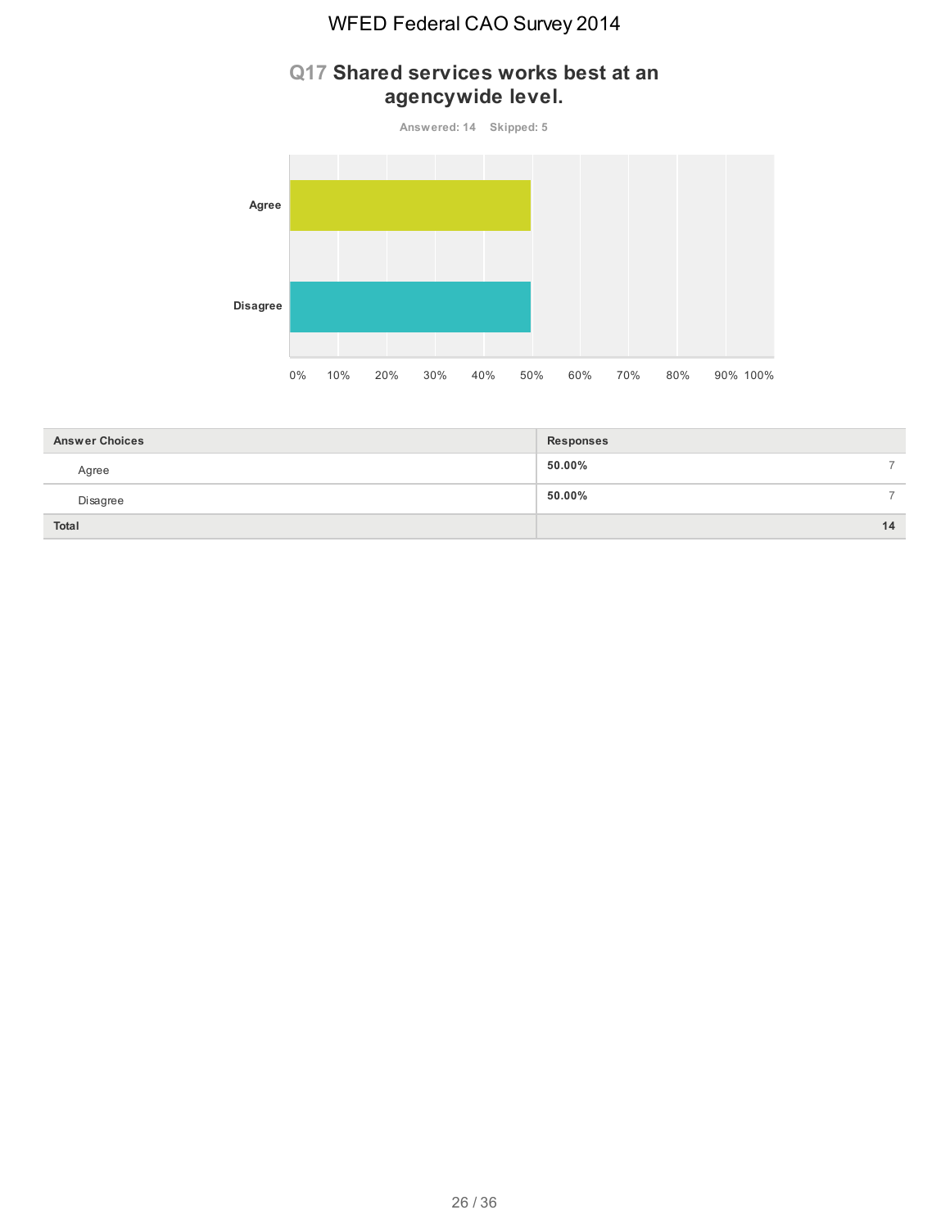# **Q17 Shared services works best at an agencywide level.**





| <b>Answer Choices</b> | <b>Responses</b>        |
|-----------------------|-------------------------|
| Agree                 | 50.00%<br>$\rightarrow$ |
| Disagree              | 50.00%<br>-             |
| Total                 | 14                      |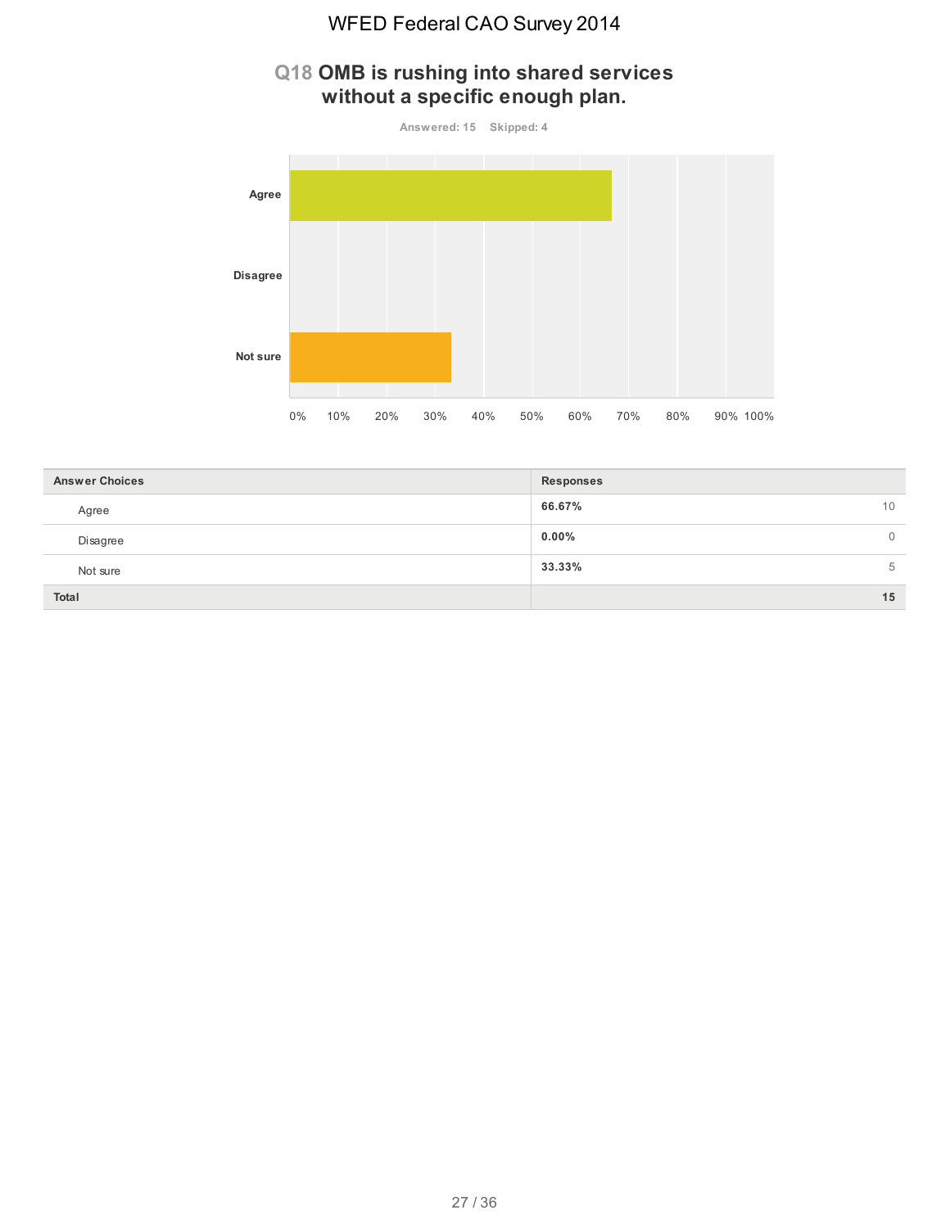# **Q18 OMB is rushing into shared services without a specific enough plan.**



| <b>Answer Choices</b> | Responses                  |
|-----------------------|----------------------------|
| Agree                 | 66.67%<br>10               |
| Disagree              | $0.00\%$<br>$\overline{0}$ |
| Not sure              | 33.33%<br>5                |
| Total                 | 15                         |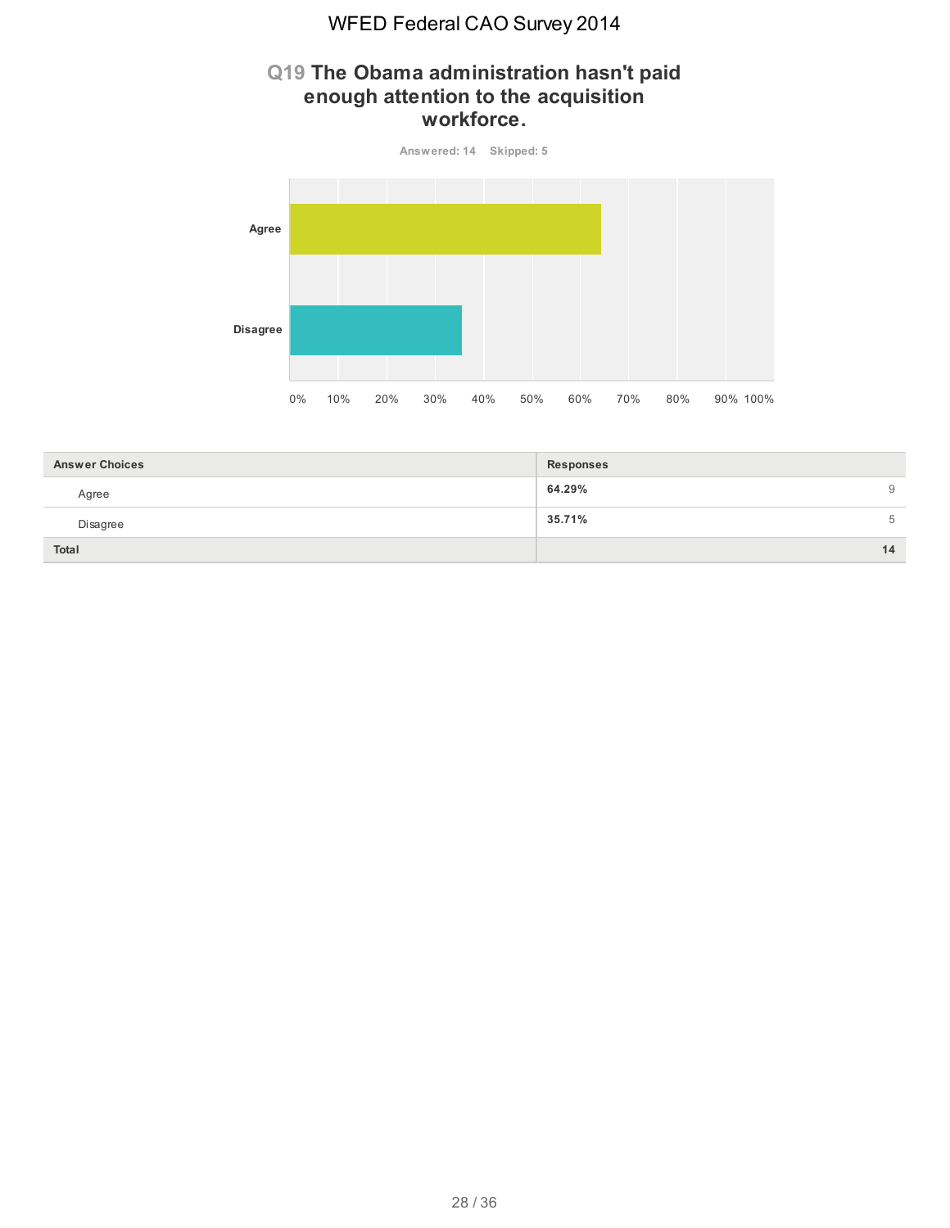#### **Q19 The Obama administration hasn't paid enough attention to the acquisition workforce.**



| <b>Answer Choices</b> | <b>Responses</b> |
|-----------------------|------------------|
| Agree                 | 64.29%<br>9      |
| Disagree              | 35.71%<br>5      |
| Total                 | 14               |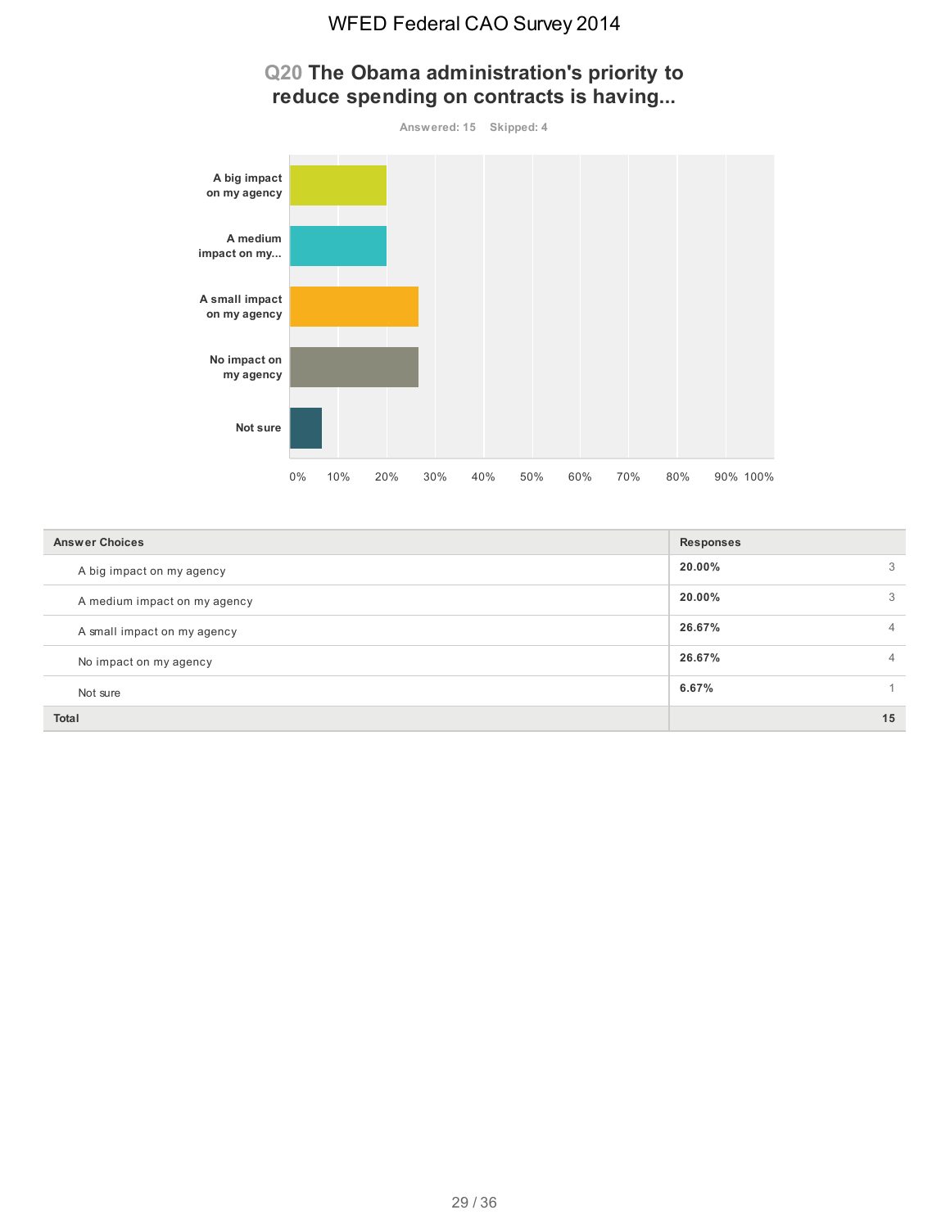

# **Q20 The Obama administration's priority to reduce spending on contracts is having...**

| <b>Answer Choices</b>        | <b>Responses</b> |
|------------------------------|------------------|
| A big impact on my agency    | 20.00%           |
| A medium impact on my agency | 20.00%<br>ð.     |
| A small impact on my agency  | 26.67%           |
| No impact on my agency       | 26.67%<br>4      |
| Not sure                     | 6.67%            |
| <b>Total</b>                 | 15               |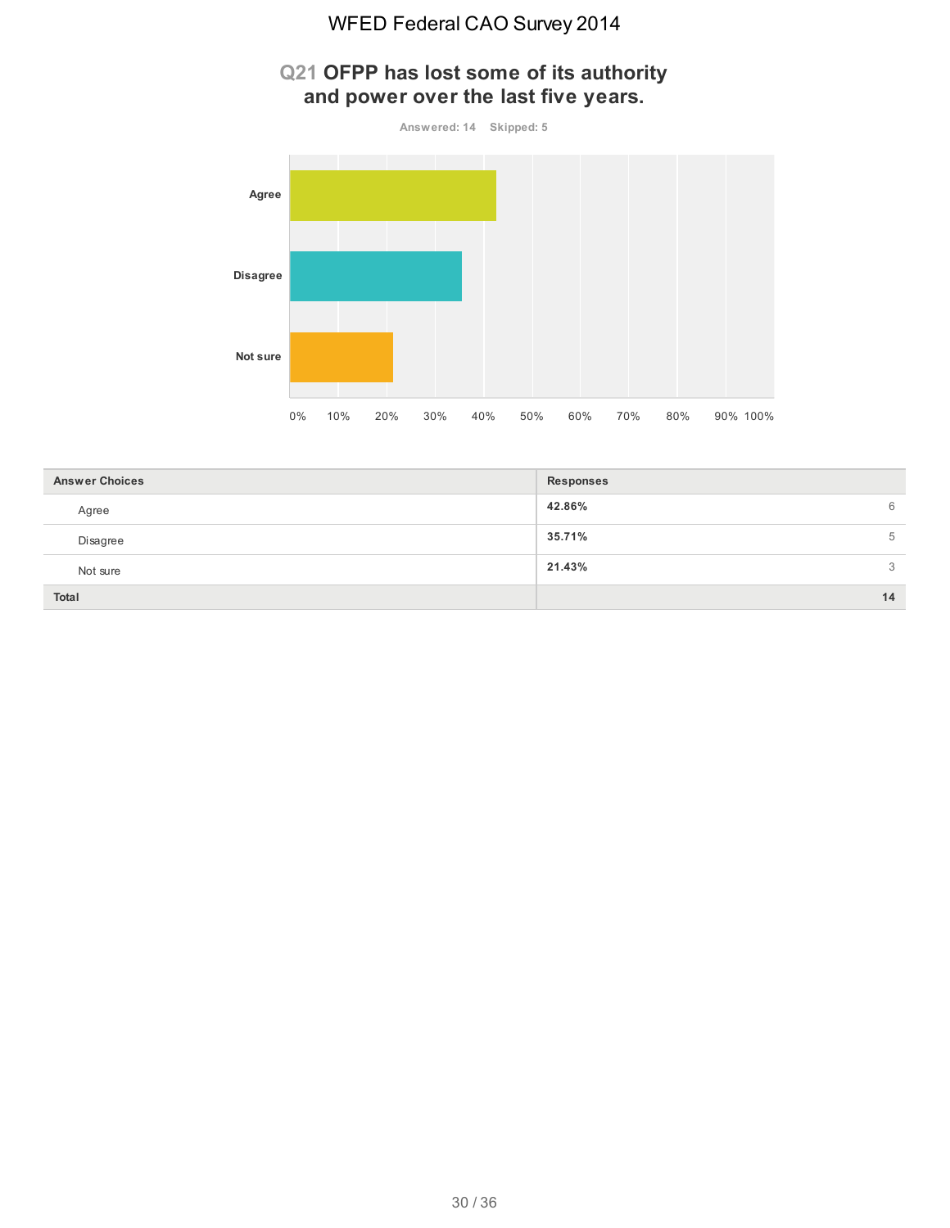# **Q21 OFPP has lost some of its authority and power over the last five years.**



| <b>Answer Choices</b> | <b>Responses</b> |
|-----------------------|------------------|
| Agree                 | 42.86%<br>6      |
| Disagree              | 35.71%<br>5      |
| Not sure              | 21.43%<br>3      |
| Total                 | 14               |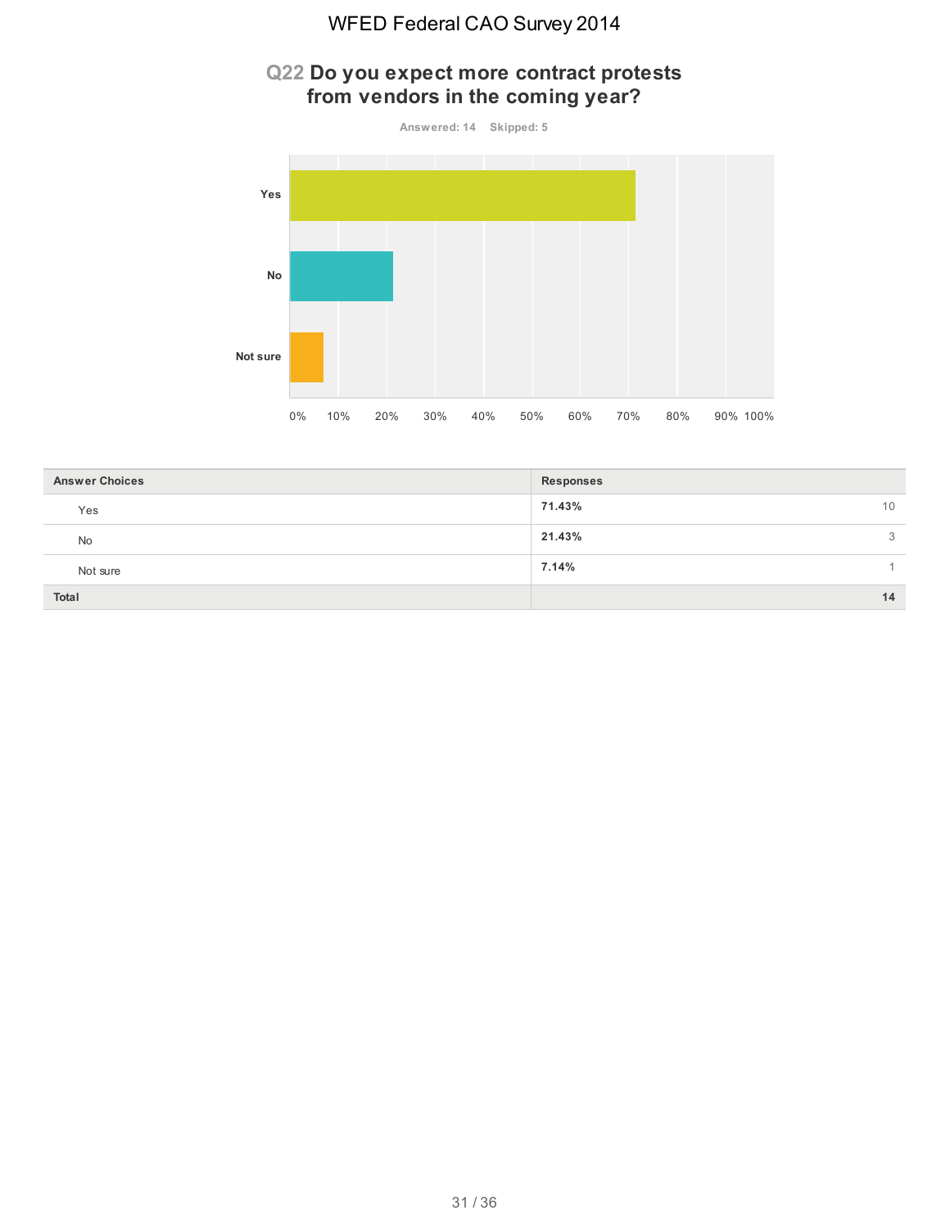#### **Q22 Do you expect more contract protests from vendors in the coming year?**





| <b>Answer Choices</b> | <b>Responses</b> |
|-----------------------|------------------|
| Yes                   | 71.43%<br>10     |
| No                    | 21.43%<br>3      |
| Not sure              | 7.14%            |
| Total                 | 14               |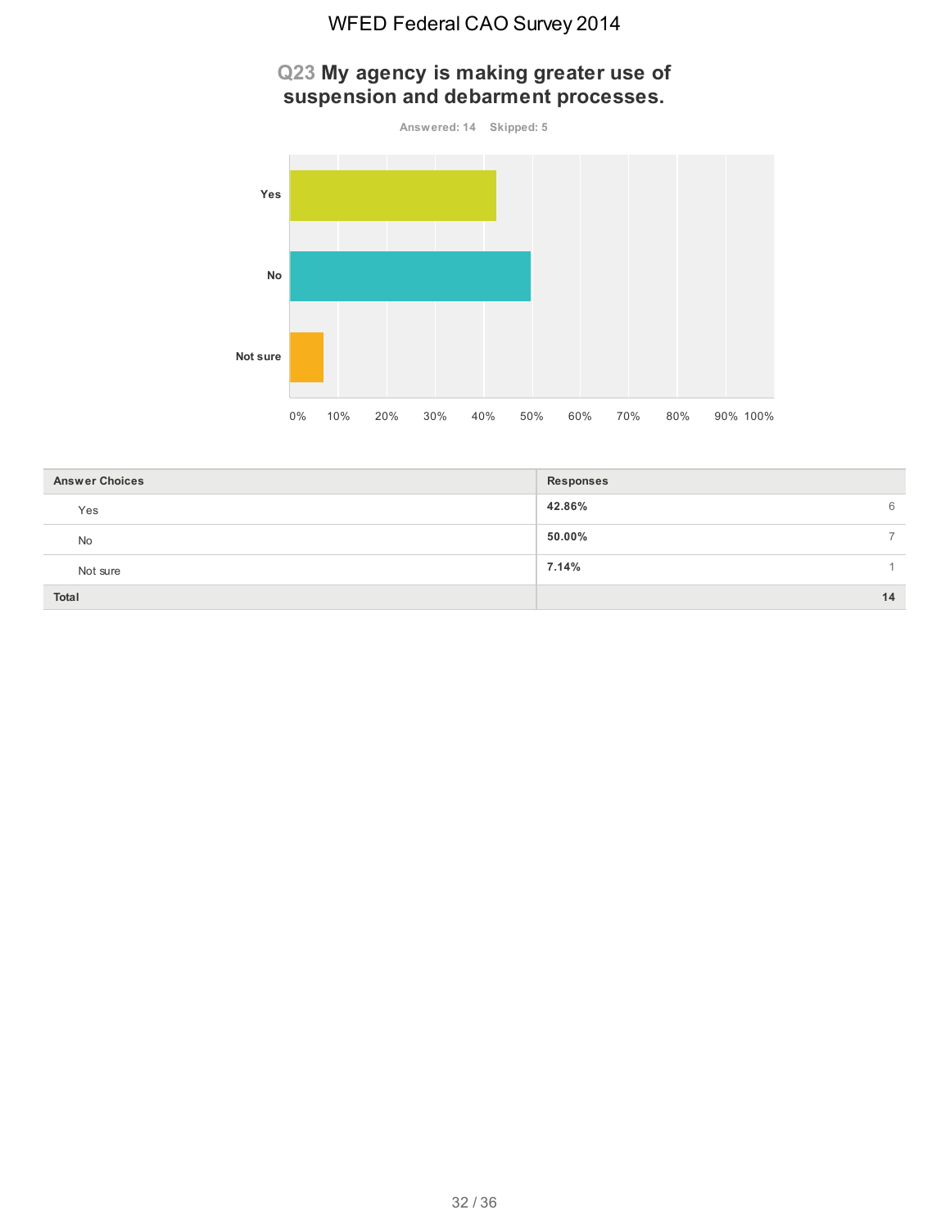#### **Q23 My agency is making greater use of suspension and debarment processes.**



| <b>Answer Choices</b> | <b>Responses</b>        |
|-----------------------|-------------------------|
| Yes                   | 42.86%<br>6             |
| No                    | 50.00%<br>$\rightarrow$ |
| Not sure              | 7.14%                   |
| Total                 | 14                      |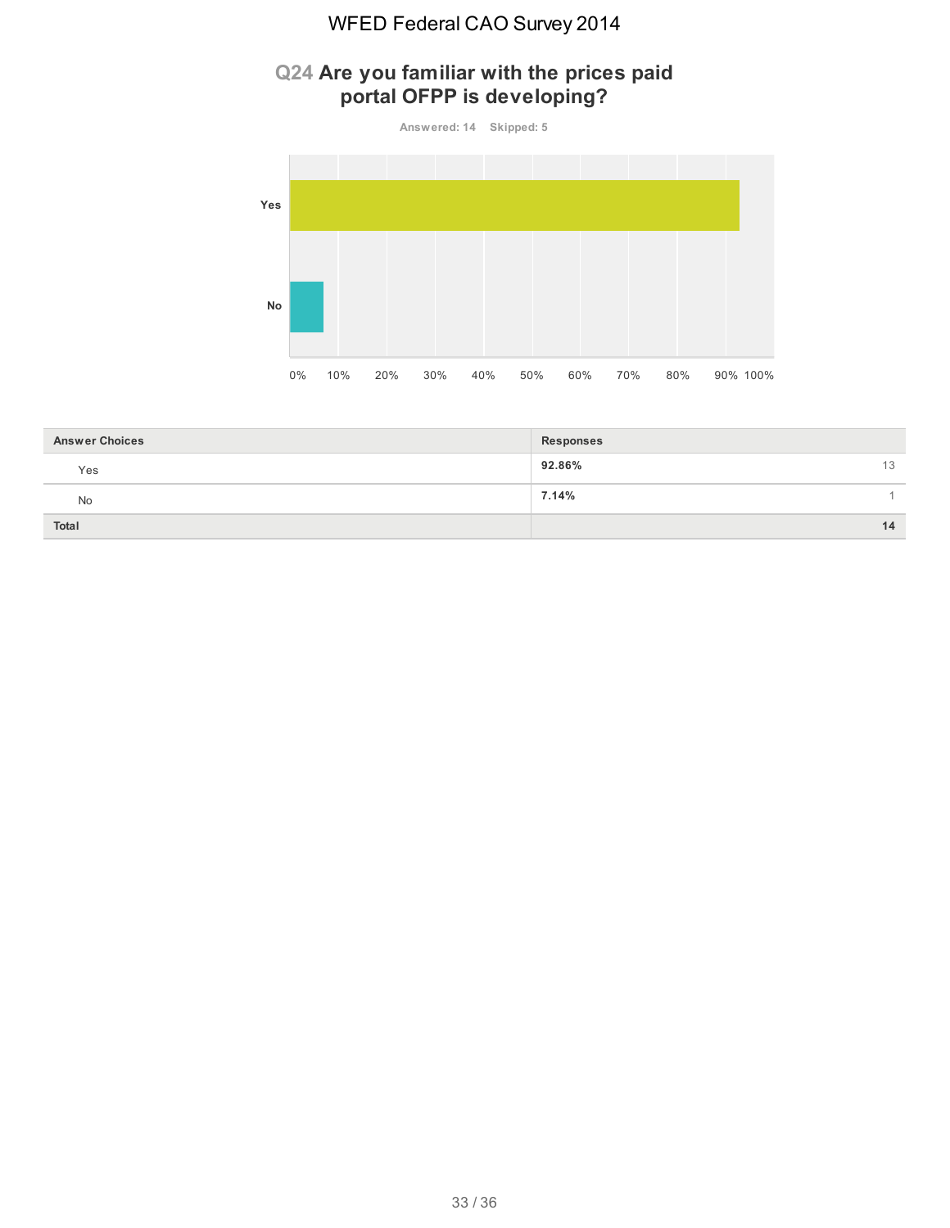# **Q24 Are you familiar with the prices paid portal OFPP is developing?**

**Answered: 14 Skipped: 5**



| <b>Answer Choices</b> | Responses    |
|-----------------------|--------------|
| Yes                   | 92.86%<br>13 |
| No                    | 7.14%        |
| Total                 | 14           |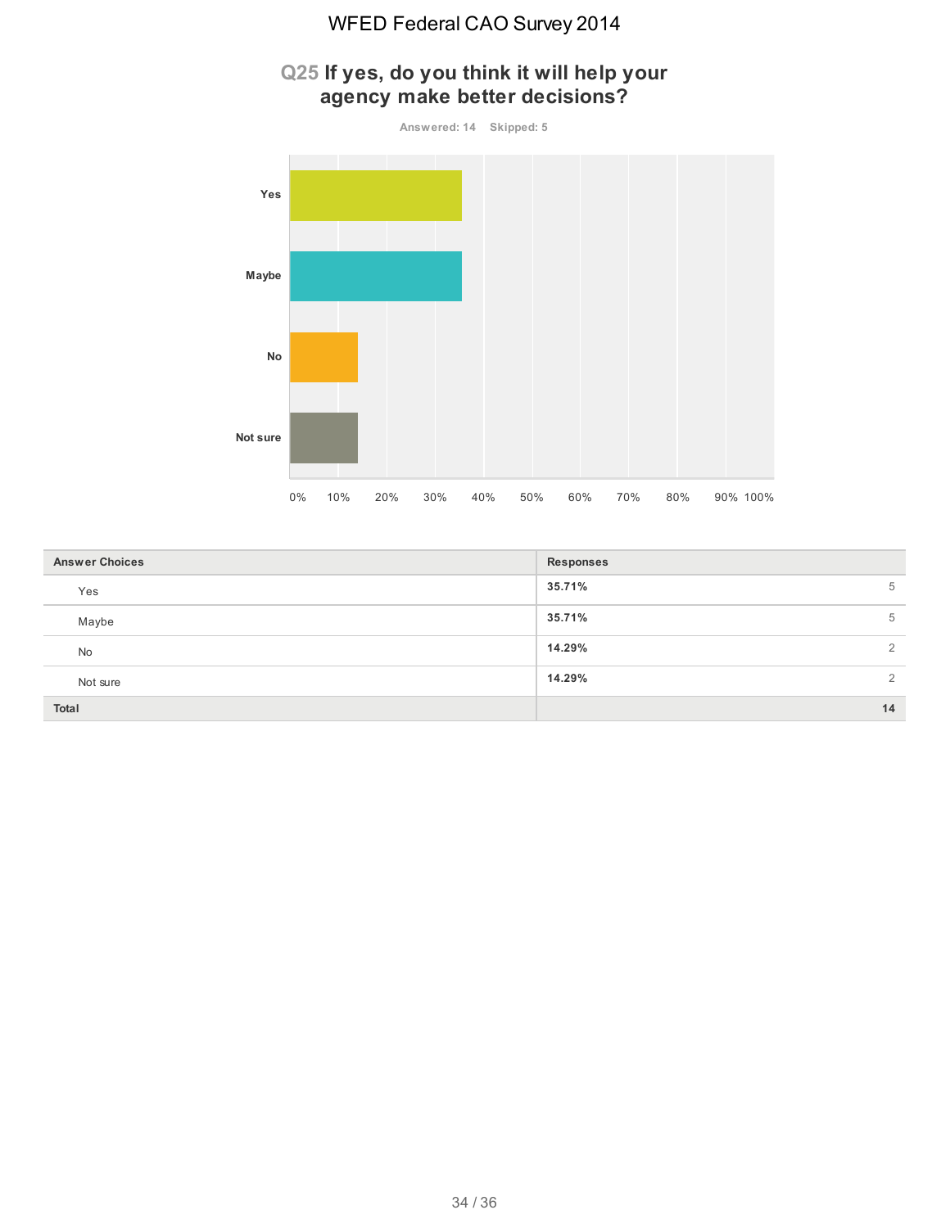# **Q25 If yes, do you think it will help your agency make better decisions?**



| <b>Answer Choices</b> | <b>Responses</b>         |
|-----------------------|--------------------------|
| Yes                   | 35.71%<br>5              |
| Maybe                 | 35.71%<br>5              |
| No                    | 14.29%<br>$\overline{2}$ |
| Not sure              | 14.29%<br>$\overline{2}$ |
| Total                 | 14                       |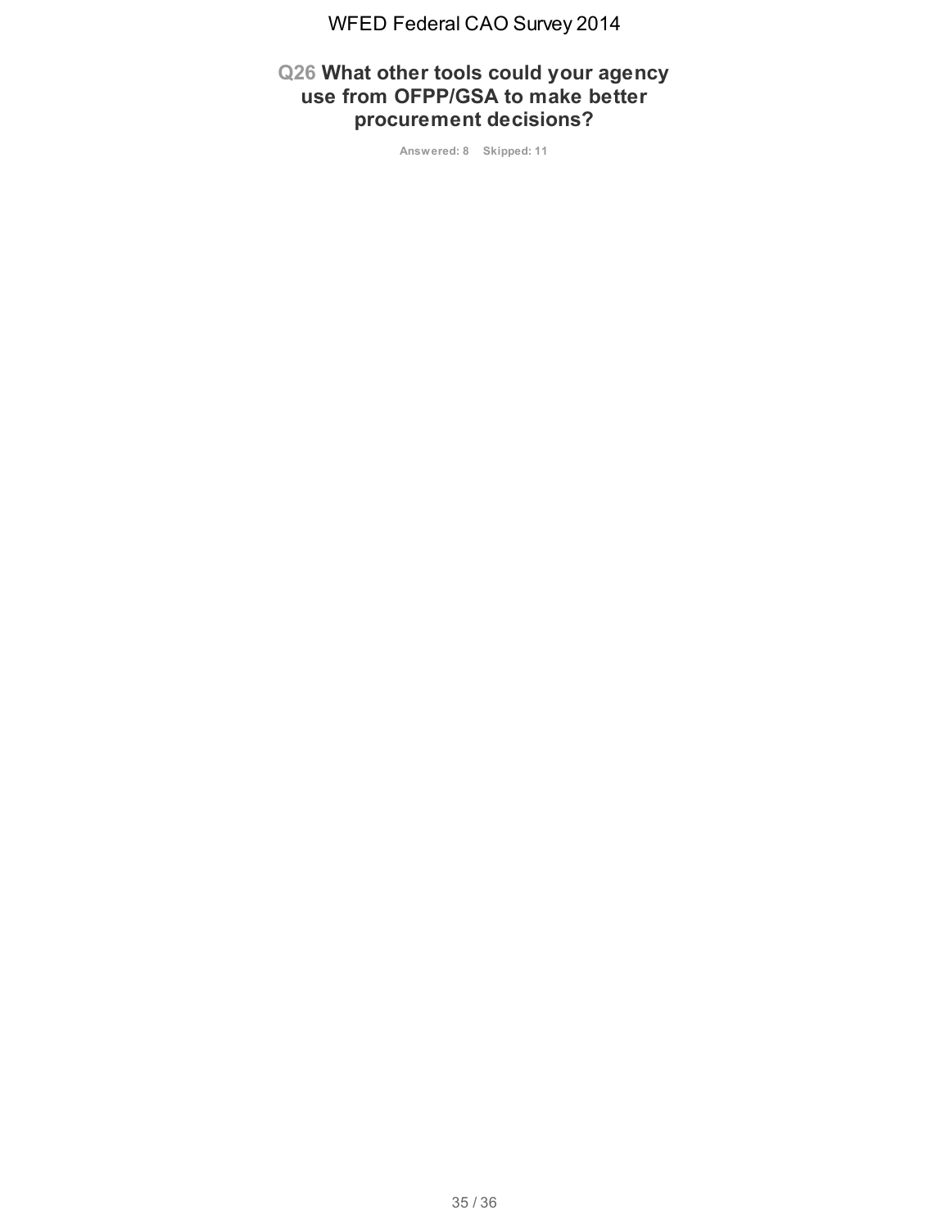#### **Q26 What other tools could your agency use from OFPP/GSA to make better procurement decisions?**

**Answered: 8 Skipped: 11**